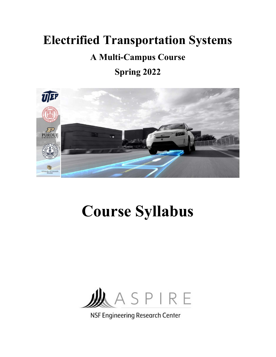# Electrified Transportation Systems

# A Multi-Campus Course

# Spring 2022



# Course Syllabus



NSF Engineering Research Center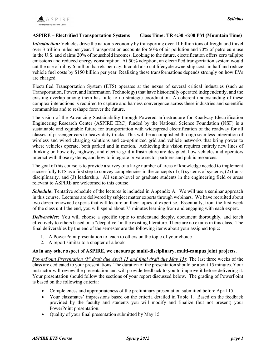#### ASPIRE – Electrified Transportation Systems Class Time: TR 4:30 -6:00 PM (Mountain Time)

Introduction: Vehicles drive the nation's economy by transporting over 11 billion tons of freight and travel over 3 trillion miles per year. Transportation accounts for 50% of air pollution and 70% of petroleum use in the U.S. and claims 20% of household incomes. Looking to the future, electrification offers zero tailpipe emissions and reduced energy consumption. At 50% adoption, an electrified transportation system would cut the use of oil by 6 million barrels per day. It could also cut lifecycle ownership costs in half and reduce vehicle fuel costs by \$150 billion per year. Realizing these transformations depends strongly on how EVs are charged.

Electrified Transportation System (ETS) operates at the nexus of several critical industries (such as Transportation, Power, and Information Technology) that have historically operated independently, and the existing overlap among them has little to no strategic coordination. A coherent understanding of these complex interactions is required to capture and harness convergence across these industries and scientific communities and to reshape forever the future.

The vision of the Advancing Sustainability through Powered Infrastructure for Roadway Electrification Engineering Research Center (ASPIRE ERC) funded by the National Science Foundation (NSF) is a sustainable and equitable future for transportation with widespread electrification of the roadway for all classes of passenger cars to heavy-duty trucks. This will be accomplished through seamless integration of wireless and wired charging solutions and co-optimized grid and vehicle networks that bring power to where vehicles operate, both parked and in motion. Achieving this vision requires entirely new lines of thinking on how city, highway, and electric grid infrastructure are designed, how vehicles and operators interact with those systems, and how to integrate private sector partners and public resources.

The goal of this course is to provide a survey of a large number of areas of knowledge needed to implement successfully ETS as a first step to convey competencies in the concepts of  $(1)$  systems of systems,  $(2)$  transdisciplinarity, and (3) leadership. All senior-level or graduate students in the engineering field or areas relevant to ASPIRE are welcomed to this course.

**Schedule:** Tentative schedule of the lectures is included in Appendix A. We will use a seminar approach in this course. Lectures are delivered by subject matter experts through webinars. We have recruited about two dozen renowned experts that will lecture on their topics of expertise. Essentially, from the first week of the class until the end, you will spend about 75 minutes learning from and engaging with each expert.

**Deliverables:** You will choose a specific topic to understand deeply, document thoroughly, and teach effectively to others based on a "deep dive" in the existing literature. There are no exams in this class. The final deliverables by the end of the semester are the following items about your assigned topic:

- 1. A PowerPoint presentation to teach to others on the topic of your choice
- 2. A report similar to a chapter of a book

#### As in any other aspect of ASPIRE, we encourage multi-disciplinary, multi-campus joint projects.

PowerPoint Presentation ( $1<sup>st</sup>$  draft due April 15 and final draft due May 15): The last three weeks of the class are dedicated to your presentations. The duration of the presentation should be about 15 minutes. Your instructor will review the presentation and will provide feedback to you to improve it before delivering it. Your presentation should follow the sections of your report discussed below. The grading of PowerPoint is based on the following criteria:

- Completeness and appropriateness of the preliminary presentation submitted before April 15.
- Your classmates' impressions based on the criteria detailed in Table 1. Based on the feedback provided by the faculty and students you will modify and finalize (but not present) your PowerPoint presentation.
- Quality of your final presentation submitted by May 15.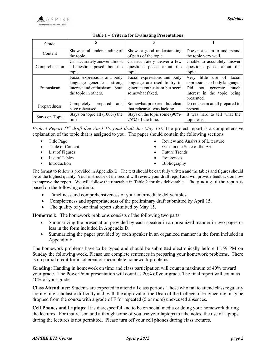

| Grade          |                                                                                                                    |                                                                                                               |                                                                                                                                                 |
|----------------|--------------------------------------------------------------------------------------------------------------------|---------------------------------------------------------------------------------------------------------------|-------------------------------------------------------------------------------------------------------------------------------------------------|
| Content        | Shows a full understanding of                                                                                      | Shows a good understanding                                                                                    | Does not seem to understand                                                                                                                     |
|                | the topic.                                                                                                         | of parts of the topic.                                                                                        | the topic very well.                                                                                                                            |
| Comprehension  | Can accurately answer almost                                                                                       | Can accurately answer a few                                                                                   | Unable to accurately answer                                                                                                                     |
|                | all questions posed about the                                                                                      | questions posed about the                                                                                     | questions posed about the                                                                                                                       |
|                | topic.                                                                                                             | topic.                                                                                                        | topic.                                                                                                                                          |
| Enthusiasm     | Facial expressions and body<br>language generate a strong<br>interest and enthusiasm about<br>the topic in others. | Facial expressions and body<br>language are used to try to<br>generate enthusiasm but seem<br>somewhat faked. | facial<br>little use of<br>Very<br>expressions or body language.<br>Did<br>generate<br>much<br>not<br>interest in the topic being<br>presented. |
| Preparedness   | Completely<br>and<br>prepared<br>have rehearsed.                                                                   | Somewhat prepared, but clear<br>that rehearsal was lacking.                                                   | Do not seem at all prepared to<br>present.                                                                                                      |
| Stays on Topic | Stays on topic all (100%) the                                                                                      | Stays on the topic some (90%-                                                                                 | It was hard to tell what the                                                                                                                    |
|                | time.                                                                                                              | $75\%$ ) of the time.                                                                                         | topic was.                                                                                                                                      |

#### Table 1 – Criteria for Evaluating Presentations

Project Report  $(I^{st}$  draft due April 15, final draft due May 15): The project report is a comprehensive explanation of the topic that is assigned to you. The paper should contain the following sections.

- Title Page
- Table of Content
- List of Figures
- List of Tables
- Introduction
- Review and Analysis of Literature
- Gaps in the State of the Art
- Future Trends
- References
- Bibliography

The format to follow is provided in Appendix B. The text should be carefully written and the tables and figures should be of the highest quality. Your instructor of the record will review your draft report and will provide feedback on how to improve the report. We will follow the timetable in Table 2 for this deliverable. The grading of the report is based on the following criteria:

- Timeliness and comprehensiveness of your intermediate deliverables.
- Completeness and appropriateness of the preliminary draft submitted by April 15.
- The quality of your final report submitted by May 15.

Homework: The homework problems consists of the following two parts:

- Summarizing the presentation provided by each speaker in an organized manner in two pages or less in the form included in Appendix D.
- Summarizing the paper provided by each speaker in an organized manner in the form included in Appendix E.

The homework problems have to be typed and should be submitted electronically before 11:59 PM on Sunday the following week. Please use complete sentences in preparing your homework problems. There is no partial credit for incoherent or incomplete homework problems.

Grading: Handing in homework on time and class participation will count a maximum of 40% toward your grade. The PowerPoint presentation will count as 20% of your grade. The final report will count as 40% of your grade.

Class Attendance: Students are expected to attend all class periods. Those who fail to attend class regularly are inviting scholastic difficulty and, with the approval of the Dean of the College of Engineering, may be dropped from the course with a grade of F for repeated (5 or more) unexcused absences.

Cell Phones and Laptops: It is disrespectful and to be on social media or doing your homework during the lectures. For that reason and although some of you use your laptops to take notes, the use of laptops during the lectures is not permitted. Please turn off your cell phones during class lectures.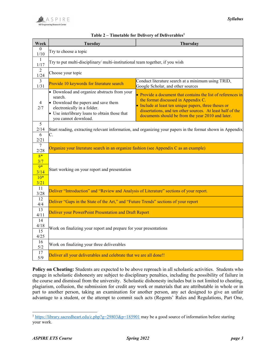

| Week                                         | <b>Tuesday</b>                                                                                                                                                                                        | Thursday                                                                                                                                                                                                                                                                        |
|----------------------------------------------|-------------------------------------------------------------------------------------------------------------------------------------------------------------------------------------------------------|---------------------------------------------------------------------------------------------------------------------------------------------------------------------------------------------------------------------------------------------------------------------------------|
| $\Omega$<br>1/10                             | Try to choose a topic                                                                                                                                                                                 |                                                                                                                                                                                                                                                                                 |
| -1<br>1/17                                   | Try to put multi-disciplinary/ multi-institutional team together, if you wish                                                                                                                         |                                                                                                                                                                                                                                                                                 |
| 2<br>1/24                                    | Choose your topic                                                                                                                                                                                     |                                                                                                                                                                                                                                                                                 |
| 3<br>1/31                                    | Provide 10 keywords for literature search                                                                                                                                                             | Conduct literature search at a minimum using TRID,<br>Google Scholar, and other sources                                                                                                                                                                                         |
| 4<br>2/7                                     | • Download and organize abstracts from your<br>search.<br>• Download the papers and save them<br>electronically in a folder.<br>• Use interlibrary loans to obtain those that<br>you cannot download. | • Provide a document that contains the list of references in<br>the format discussed in Appendix C.<br>• Include at least ten unique papers, three theses or<br>dissertations, and ten other sources. At least half of the<br>documents should be from the year 2010 and later. |
| 5<br>2/14<br>6<br>2/21                       | C.                                                                                                                                                                                                    | Start reading, extracting relevant information, and organizing your papers in the format shown in Appendix                                                                                                                                                                      |
| $\overline{7}$<br>2/28                       | Organize your literature search in an organize fashion (see Appendix C as an example)                                                                                                                 |                                                                                                                                                                                                                                                                                 |
| $8*$<br>3/7<br>9*<br>3/14<br>$10*$<br>$3/21$ | Start working on your report and presentation                                                                                                                                                         |                                                                                                                                                                                                                                                                                 |
| 11<br>3/28                                   | Deliver "Introduction" and "Review and Analysis of Literature" sections of your report.                                                                                                               |                                                                                                                                                                                                                                                                                 |
| 12<br>4/4                                    | Deliver "Gaps in the State of the Art," and "Future Trends" sections of your report                                                                                                                   |                                                                                                                                                                                                                                                                                 |
| 13<br>4/11                                   | Deliver your PowerPoint Presentation and Draft Report                                                                                                                                                 |                                                                                                                                                                                                                                                                                 |
| 14<br>4/18<br>15<br>4/25                     | Work on finalizing your report and prepare for your presentations                                                                                                                                     |                                                                                                                                                                                                                                                                                 |
| 16<br>5/2                                    | Work on finalizing your three deliverables                                                                                                                                                            |                                                                                                                                                                                                                                                                                 |
| 17<br>5/9                                    | Deliver all your deliverables and celebrate that we are all done!!                                                                                                                                    |                                                                                                                                                                                                                                                                                 |

#### Table  $2$  – Timetable for Delivery of Deliverables<sup>1</sup>

Policy on Cheating: Students are expected to be above reproach in all scholastic activities. Students who engage in scholastic dishonesty are subject to disciplinary penalties, including the possibility of failure in the course and dismissal from the university. Scholastic dishonesty includes but is not limited to cheating, plagiarism, collusion, the submission for credit any work or materials that are attributable in whole or in part to another person, taking an examination for another person, any act designed to give an unfair advantage to a student, or the attempt to commit such acts (Regents' Rules and Regulations, Part One,

l

<sup>&</sup>lt;sup>1</sup> https://library.sacredheart.edu/c.php?g=29803&p=185901 may be a good source of information before starting your work.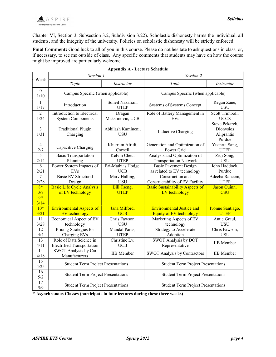

Chapter VI, Section 3, Subsection 3.2, Subdivision 3.22). Scholastic dishonesty harms the individual, all students, and the integrity of the university. Policies on scholastic dishonesty will be strictly enforced.

Final Comment: Good luck to all of you in this course. Please do not hesitate to ask questions in class, or, if necessary, to see me outside of class. Any specific comments that students may have on how the course might be improved are particularly welcome.

| Week                     | Session 1                                                    |                                  | Session 2                                                     |                                                     |  |
|--------------------------|--------------------------------------------------------------|----------------------------------|---------------------------------------------------------------|-----------------------------------------------------|--|
|                          | Topic                                                        | Instructor                       | Topic                                                         | Instructor                                          |  |
| $\boldsymbol{0}$<br>1/10 | Campus Specific (when applicable)                            |                                  | Campus Specific (when applicable)                             |                                                     |  |
| 1<br>1/17                | Introduction                                                 | Soheil Nazarian,<br><b>UTEP</b>  | Systems of Systems Concept                                    | Regan Zane,<br><b>USU</b>                           |  |
| $\overline{2}$<br>1/24   | Introduction to Electrical<br><b>System Components</b>       | Dragan<br>Maksimovic, UCB        | Role of Battery Management in<br><b>EVs</b>                   | Scott Trimboli,<br><b>UCCS</b>                      |  |
| 3<br>1/31                | <b>Traditional Plugin</b><br>Charging                        | Abhilash Kamineni,<br><b>USU</b> | <b>Inductive Charging</b>                                     | Steve Pekarek,<br>Dionysios<br>Aliprantis<br>Purdue |  |
| $\overline{4}$<br>2/7    | Khurram Afridi,<br>Capacitive Charging<br>Cornell            |                                  | Generation and Optimization of<br>Power Grid                  | Yuanrui Sang,<br><b>UTEP</b>                        |  |
| 5<br>2/14                | <b>Basic Transportation</b><br>Planning                      | Kelvin Cheu,<br><b>UTEP</b>      | Analysis and Optimization of<br><b>Transportation Network</b> | Ziqi Song,<br>USU                                   |  |
| 6<br>2/21                | Power System Impacts of<br>EV <sub>s</sub>                   | Bri-Mathias Hodge,<br><b>UCB</b> | <b>Basic Pavement Design</b><br>as related to EV technology   | John Haddock,<br>Purdue                             |  |
| $\tau$<br>2/28           | <b>Basic EV Structural</b><br>Design                         | Marv Halling,<br><b>USU</b>      | Construction and<br>Constructability of EV Facility           | Adeeba Raheem,<br><b>UTEP</b>                       |  |
| $8*$                     | Basic Life Cycle Analysis                                    | <b>Bill Tseng,</b>               | <b>Basic Sustainability Aspects of</b>                        | Jason Quinn,                                        |  |
| 3/7<br>$9*$<br>3/14      | of EV technology                                             | <b>UTEP</b>                      | <b>EV</b> technology                                          | <b>CSU</b>                                          |  |
| $10*$<br>$3/21$          | <b>Environmental Aspects of</b><br>EV technology             | Jana Milford,<br><b>UCB</b>      | <b>Environmental Justice and</b><br>Equity of EV technology   | Ivonne Santiago,<br><b>UTEP</b>                     |  |
| 11<br>3/28               | Economical Aspect of EV<br>technology                        | Chris Fawson,<br><b>USU</b>      | Marketing Aspects of EV<br>technology                         | Antje Graul,<br><b>USU</b>                          |  |
| $\overline{12}$<br>4/4   | Pricing Strategies for<br>Charging EVs                       | Mandal Paras,<br><b>UTEP</b>     | Strategy to Accelerate<br>Adoption                            | Chris Fawson,<br><b>USU</b>                         |  |
| $\overline{13}$<br>4/11  | Role of Data Science in<br><b>Electrified Transportation</b> | Christine Lv,<br><b>UCB</b>      | <b>SWOT Analysis by DOT</b><br>Representative                 | <b>IIB</b> Member                                   |  |
| 14<br>$4/18$             | SWOT Analysis by Car<br>Manufacturers                        | <b>IIB</b> Member                | SWOT Analysis by Contractors                                  | <b>IIB</b> Member                                   |  |
| 15<br>4/25               | <b>Student Term Project Presentations</b>                    |                                  | <b>Student Term Project Presentations</b>                     |                                                     |  |
| 16<br>5/2                | <b>Student Term Project Presentations</b>                    |                                  | <b>Student Term Project Presentations</b>                     |                                                     |  |
| 17<br>5/9                | <b>Student Term Project Presentations</b>                    |                                  | <b>Student Term Project Presentations</b>                     |                                                     |  |

\* Asynchronous Classes (participate in four lectures during these three weeks)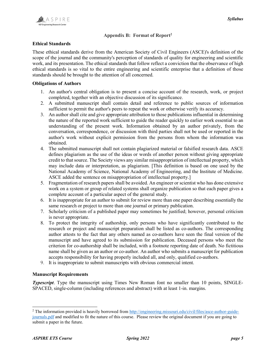

#### Appendix B: Format of Report<sup>2</sup>

#### Ethical Standards

These ethical standards derive from the American Society of Civil Engineers (ASCE)'s definition of the scope of the journal and the community's perception of standards of quality for engineering and scientific work, and its presentation. The ethical standards that follow reflect a conviction that the observance of high ethical standards is so vital to the entire engineering and scientific enterprise that a definition of those standards should be brought to the attention of all concerned.

#### Obligations of Authors

- 1. An author's central obligation is to present a concise account of the research, work, or project completed, together with an objective discussion of its significance.
- 2. A submitted manuscript shall contain detail and reference to public sources of information sufficient to permit the author's peers to repeat the work or otherwise verify its accuracy.
- 3. An author shall cite and give appropriate attribution to those publications influential in determining the nature of the reported work sufficient to guide the reader quickly to earlier work essential to an understanding of the present work. Information obtained by an author privately, from the conversation, correspondence, or discussion with third parties shall not be used or reported in the author's work without explicit permission from the persons from whom the information was obtained.
- 4. The submitted manuscript shall not contain plagiarized material or falsified research data. ASCE defines plagiarism as the use of the ideas or words of another person without giving appropriate credit to that source. The Society views any similar misappropriation of intellectual property, which may include data or interpretation, as plagiarism. [This definition is based on one used by the National Academy of Science, National Academy of Engineering, and the Institute of Medicine. ASCE added the sentence on misappropriation of intellectual property.]
- 5. Fragmentation of research papers shall be avoided. An engineer or scientist who has done extensive work on a system or group of related systems shall organize publication so that each paper gives a complete account of a particular aspect of the general study.
- 6. It is inappropriate for an author to submit for review more than one paper describing essentially the same research or project to more than one journal or primary publication.
- 7. Scholarly criticism of a published paper may sometimes be justified; however, personal criticism is never appropriate.
- 8. To protect the integrity of authorship, only persons who have significantly contributed to the research or project and manuscript preparation shall be listed as co-authors. The corresponding author attests to the fact that any others named as co-authors have seen the final version of the manuscript and have agreed to its submission for publication. Deceased persons who meet the criterion for co-authorship shall be included, with a footnote reporting date of death. No fictitious name shall be given as an author or co-author. An author who submits a manuscript for publication accepts responsibility for having properly included all, and only, qualified co-authors.
- 9. It is inappropriate to submit manuscripts with obvious commercial intent.

#### Manuscript Requirements

Typescript. Type the manuscript using Times New Roman font no smaller than 10 points, SINGLE-SPACED, single-column (including references and abstract) with at least 1-in. margins.

 $\overline{a}$ 

<sup>&</sup>lt;sup>2</sup> The information provided is heavily borrowed from http://engineering.missouri.edu/civil/files/asce-author-guidejournals.pdf and modified to fit the nature of this course. Please review the original document if you are going to submit a paper in the future.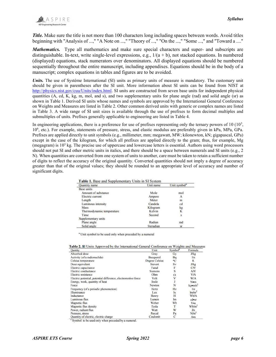**Title.** Make sure the title is not more than 100 characters long including spaces between words. Avoid titles beginning with "Analysis of ...," "A Note on ...," "Theory of ...," "On the ...," "Some ...," and "Toward a ...."

Mathematics. Type all mathematics and make sure special characters and super- and subscripts are distinguishable. In-text, write single-level expressions, e.g.,  $1/(a + b)$ , not stacked equations. In numbered (displayed) equations, stack numerators over denominators. All displayed equations should be numbered sequentially throughout the entire manuscript, including appendixes. Equations should be in the body of a manuscript; complex equations in tables and figures are to be avoided.

Units. The use of Systéme International (SI) units as primary units of measure is mandatory. The customary unit should be given in parentheses after the SI unit. More information about SI units can be found from NIST at http://physics.nist.gov/cuu/Units/index.html. SI units are constructed from seven base units for independent physical quantities (A, cd, K, kg, m, mol, and s), and two supplementary units for plane angle (rad) and solid angle (sr) as shown in Table 1. Derived SI units whose names and symbols are approved by the International General Conference on Weights and Measures are listed in Table 2. Other common derived units with generic or complex names are listed in Table 3. A wide range of SI unit sizes is available through the use of prefixes to form decimal multiples and submultiples of units. Prefixes generally applicable to engineering are listed in Table 4.

In engineering applications, there is a preference for use of prefixes representing only the ternary powers of  $10 (10<sup>3</sup>$ , 10<sup>6</sup> , etc.). For example, statements of pressure, stress, and elastic modulus are preferably given in kPa, MPa, GPa. Prefixes are applied directly to unit symbols (e.g., millimeter, mm; megawatt, MW; kilonewton, kN; gigapascal, GPa) except in the case of the kilogram, for which all prefixes are applied directly to the gram; thus, for example, Mg (megagram) is  $10<sup>3</sup>$  kg. The precise use of uppercase and lowercase letters is essential. Authors using word processors should not put SI and other metric units in italics, and there should be a space between numerals and SI units (e.g., 2 N). When quantities are converted from one system of units to another, care must be taken to retain a sufficient number of digits to reflect the accuracy of the original quantity. Converted quantities should not imply a degree of accuracy greater than that of the original values; they should be rounded to an appropriate level of accuracy and number of significant digits.

|  |  |  | <b>Table 1.</b> Base and Supplementary Units in SI System |
|--|--|--|-----------------------------------------------------------|
|--|--|--|-----------------------------------------------------------|

| Quantity name             | Unit name | Unit symbol <sup>a</sup> |
|---------------------------|-----------|--------------------------|
| Base units                |           |                          |
| Amount of substance       | Mole      | mol                      |
| Electric current          | Ampere    | А                        |
| Length                    | Meter     | $\mathbf{m}$             |
| Luminous intensity        | Candela   | cd                       |
| Mass                      | Kilogram  | kg                       |
| Thermodynamic temperature | Kelvin    | K                        |
| Time                      | Second    | S                        |
| Supplementary units       |           |                          |
| Plane angle               | Radian    | rad                      |
| Solid angle               | Steradian | SÏ                       |

<sup>a</sup> Unit symbol to be used only when preceded by a numeral

| <b>Table 2. SI</b> Units Approved by the International General Conference on Weights and Measures |      |                     |         |
|---------------------------------------------------------------------------------------------------|------|---------------------|---------|
| Qantity                                                                                           | Unit | Symbol <sup>a</sup> | Formula |
|                                                                                                   |      |                     |         |

| <b>Qantity</b>                                                | Unit                  | эушрог | гоппиа              |
|---------------------------------------------------------------|-----------------------|--------|---------------------|
| Absorbed dose                                                 | Gray                  | Gy     | J/kg                |
| Activity (of a radionuclide)                                  | Becquerel             | Bq     | 1/s                 |
| Celsius temperature                                           | <b>Degree Celsius</b> | °C     | K                   |
| Dose equivalent                                               | Sievert               | Sv     | J/kg                |
| Electric capacitance                                          | Farad                 | F      | C/V                 |
| Electric conductance                                          | <b>Siemens</b>        | S      | A/V                 |
| Electric resistance                                           | Ohm                   | Ω      | V/A                 |
| Electric potential, potential difference, electromotive force | Volt                  | v      | W/A                 |
| Energy, work, quantity of heat                                | Joule                 | J      | Nom.                |
| Force:                                                        | Newton                | N      | kgom/s <sup>2</sup> |
| Frequency (of a periodic phenomenon)                          | Hertz                 | Hz     | 1/s                 |
| <b>Illuminance</b>                                            | Lux                   | 1x     | lm/m <sup>2</sup>   |
| Inductance                                                    | Henry                 | Н      | Wb/A                |
| Luminous flux                                                 | Lumen                 | lm     | cdosr               |
| Magnetic flux                                                 | Weber                 | Wb     | Vos                 |
| Magnetic flux density                                         | Tesla                 | T      | Wb/m <sup>2</sup>   |
| Power, radiant flux                                           | Watt                  | W      | J/s                 |
| Pressure, stress                                              | Pascal                | Pa     | N/m <sup>2</sup>    |
| Quantity of electric, electric charge                         | Coulomb               | C      | $A \bullet s$       |

<sup>a</sup> Symbol to be used only when preceded by a numeral.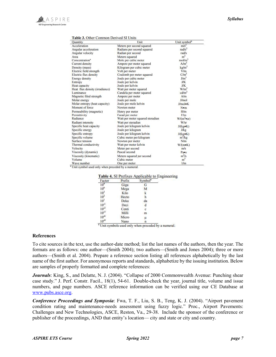| Quantity                       | Unit                             | Unit symbol <sup>a</sup> |  |
|--------------------------------|----------------------------------|--------------------------|--|
| Acceleration                   | Meters per second squared        | $m/s^2$                  |  |
| Angular acceleration           | Radians per second squared       | rad/s <sup>2</sup>       |  |
| Angular velocity               | Radian per second                | rad/s                    |  |
| Area                           | Meters squared                   | m <sup>2</sup>           |  |
| Concentration <sup>a</sup>     | Mole per cubic meter             | mol/m <sup>3</sup>       |  |
| Current density                | Ampere per meter squared         | A/m <sup>2</sup>         |  |
| Density (mass)                 | Kilogram per cubic meter         | kg/m <sup>3</sup>        |  |
| Electric field strength        | Volt per meter                   | V/m                      |  |
| Electric flux density          | Coulomb per meter squared        | $C/m^2$                  |  |
| Energy density                 | Joule per cubic meter            | J/m <sup>3</sup>         |  |
| Entropy                        | Joule per kelvin                 | <b>J/K</b>               |  |
| Heat capacity                  | Joule per kelvin                 | J/K                      |  |
| Heat flux density (irradiance) | Watt per meter squared           | W/m <sup>2</sup>         |  |
| Luminance                      | Candela per meter squared        | cd/m <sup>2</sup>        |  |
| Magnetic filed strength        | Ampere per meter                 | A/m                      |  |
| Molar energy                   | Joule per mole                   | J/mol                    |  |
| Molar entropy (heat capacity)  | Joule per mole kelvin            | $J/mol$ K                |  |
| Moment of force                | Newton meter                     | Nom.                     |  |
| Permeability (magnetic)        | Henry per meter                  | H/m                      |  |
| Permittivity                   | Farad per meter                  | F/m                      |  |
| Radiance                       | Watt per meter squared steradian | $W/(m^2 \cdot sr)$       |  |
| Radiant intensity              | Watt per steradian               | W/sr                     |  |
| Specific heat capacity         | Joule per kilogram kelvin        | $J/(kg \bullet K)$       |  |
| Specific energy                | Joule per kilogram               | J/kg                     |  |
| Specific entropy               | Joule per kilogram kelvin        | J(kgeK)                  |  |
| Specific volume                | Cubic meter per kilogram         | $m'$ /kg                 |  |
| Surface tension                | Newton per meter                 | N/m                      |  |
| Thermal conductivity           | Watt per meter kelvin            | $W/(m \cdot K)$          |  |
| Velocity                       | Meter per second                 | m/s                      |  |
| Viscosity (dynamic)            | Pascal second                    | Paos                     |  |
| Viscosity (kinematic)          | Meters squared per second        | $m^2/s$                  |  |
| Volume                         | Cubic meter                      | m <sup>3</sup>           |  |
| Wave number                    | One per meter                    | 1/m                      |  |

#### Table 3 Other Common Derived SI Unite

<sup>a</sup> Unit symbol used only when preceded by a numeral.

| Table 4. SI Prefixes Applicable to Engineering |  |  |  |  |  |  |  |
|------------------------------------------------|--|--|--|--|--|--|--|
|------------------------------------------------|--|--|--|--|--|--|--|

| Factor           | Prefix | Symbol <sup>a</sup> |  |
|------------------|--------|---------------------|--|
| $10^9$           | Giga   | G                   |  |
| 10 <sup>6</sup>  | Mega   | м                   |  |
| 10 <sup>3</sup>  | Kilo   | k                   |  |
| 10 <sup>2</sup>  | Hecto  | h                   |  |
| 10 <sup>1</sup>  | Deka   | da                  |  |
| $10^{-1}$        | Deci   | d                   |  |
| $10^{-2}$        | Centi  | c                   |  |
| $10^{-3}$        | Milli  | m                   |  |
| $10^{-6}$        | Micro  | μ                   |  |
| $10^{\text{-}9}$ | Nano   | n                   |  |

<sup>a</sup> Unit symbols used only when preceded by a numeral.

#### References

To cite sources in the text, use the author-date method; list the last names of the authors, then the year. The formats are as follows: one author—(Smith 2004); two authors—(Smith and Jones 2004); three or more authors—(Smith et al. 2004). Prepare a reference section listing all references alphabetically by the last name of the first author. For anonymous reports and standards, alphabetize by the issuing institution. Below are samples of properly formatted and complete references:

Journals: King, S., and Delatte, N. J. (2004). "Collapse of 2000 Commonwealth Avenue: Punching shear case study." J. Perf. Constr. Facil., 18(1), 54-61. Double-check the year, journal title, volume and issue numbers, and page numbers. ASCE reference information can be verified using our CE Database at www.pubs.asce.org.

Conference Proceedings and Symposia: Fwa, T. F., Liu, S. B., Teng, K. J. (2004). "Airport pavement condition rating and maintenance-needs assessment using fuzzy logic." Proc., Airport Pavements: Challenges and New Technologies, ASCE, Reston, Va., 29-38. Include the sponsor of the conference or publisher of the proceedings, AND that entity's location— city and state or city and country.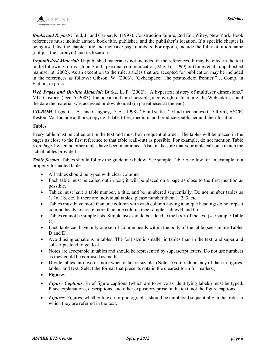Books and Reports: Feld, J., and Carper, K. (1997). Construction failure, 2nd Ed., Wiley, New York. Book references must include author, book title, publisher, and the publisher's location. If a specific chapter is being used, list the chapter title and inclusive page numbers. For reports, include the full institution name (not just the acronym) and its location.

Unpublished Material: Unpublished material is not included in the references. It may be cited in the text in the following forms: (John Smith, personal communication, May 16, 1999) or (Jones et al., unpublished manuscript, 2002). As an exception to the rule, articles that are accepted for publication may be included in the references as follows: Gibson, W. (2003). "Cyberspace: The postmodern frontier." J. Comp. in Fiction, in press.

Web Pages and On-line Material: Burka, L. P. (2002). "A hypertext history of multiuser dimensions." MUD history, (Dec. 5, 2003). Include an author if possible, a copyright date, a title, the Web address, and the date the material was accessed or downloaded (in parentheses at the end).

CD-ROM: Liggett, J. A., and Caughey, D. A. (1998). "Fluid statics." Fluid mechanics (CD-Rom), ASCE, Reston, Va. Include authors, copyright date, titles, medium, and producer/publisher and their location.

#### Tables

Every table must be called out in the text and must be in sequential order. The tables will be placed in the pages as close to the first reference to that table (call-out) as possible. For example, do not mention Table 3 on Page 1 when no other tables have been mentioned. Also, make sure that your table call-outs match the actual tables provided.

Table format. Tables should follow the guidelines below. See sample Table A follow for an example of a properly formatted table.

- All tables should be typed with clear columns.
- Each table must be called out in text; it will be placed on a page as close to the first mention as possible.
- Tables must have a table number, a title, and be numbered sequentially. Do not number tables as 1, 1a, 1b, etc. If there are individual tables, please number them 1, 2, 3, etc.
- Tables must have more than one column with each column having a unique heading; do not repeat column heads to create more than one column (see sample Tables B and C).
- Tables cannot be simple lists. Simple lists should be added to the body of the text (see sample Table C).
- Each table can have only one set of column heads within the body of the table (see sample Tables D and E).
- Avoid using equations in tables. The font size is smaller in tables than in the text, and super and subscripts tend to get lost.
- Notes are acceptable in tables and should be represented by superscript letters. Do not use numbers as they could be confused as math.
- Divide tables into two or more when data are sizable. (Note: Avoid redundancy of data in figures, tables, and text. Select the format that presents data in the clearest form for readers.)
- Figures
- Figure Captions. Brief figure captions (which are to serve as identifying labels) must be typed. Place explanations, descriptions, and other expository prose in the text, not the figure captions.
- Figures. Figures, whether line art or photographs, should be numbered sequentially in the order to which they are referred in the text.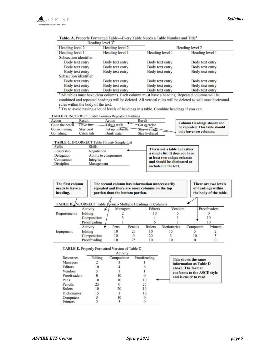

| Heading level 3 <sup>b</sup> |                 |                 |                 |
|------------------------------|-----------------|-----------------|-----------------|
| Heading level 2              | Heading level 2 | Heading level 2 |                 |
| Heading level 1              | Heading level 1 | Heading level 1 | Heading level 1 |
| Subsection identifier        |                 |                 |                 |
| Body text entry              | Body text entry | Body text entry | Body text entry |
| Body text entry              | Body text entry | Body text entry | Body text entry |
| Body text entry              | Body text entry | Body text entry | Body text entry |
| Subsection identifier        |                 |                 |                 |
| Body text entry              | Body text entry | Body text entry | Body text entry |
| Body text entry              | Body text entry | Body text entry | Body text entry |
| Body text entry              | Body text entry | Body text entry | Body text entry |

Table. A. Properly Formatted Table-Every Table Needs a Table Number and Title<sup>a</sup>

<sup>a</sup> All tables must have clear columns. Each column must have a heading. Repeated columns will be combined and repeated headings will be deleted. All vertical rules will be deleted as will most horizontal rules within the body of the text.

<sup>b</sup> Try to avoid having a lot of levels of headings in a table. Combine headings if you can.

#### TABLE B. INCORRECT Table Format-Repeated Headings

| Action          | Result     | Action          | Result        |                                   |
|-----------------|------------|-----------------|---------------|-----------------------------------|
| Go to the beach | Have fur-  | Take a walk     | Getexercise   | <b>Column Headings should not</b> |
| Go swimming     | Stav cool  | Put up umbrella | Stay in shade | be repeated. This table should    |
| Go fishing      | Catch fish | Drink water     | Stay hydrated | only have two columns.            |

#### TABLE C. INCORRECT Table Format- Simple List

| <b>Skills</b> | <b>Skills</b>         |                                                                   |
|---------------|-----------------------|-------------------------------------------------------------------|
| Leadership    | Negotiation           | This is not a table but rather<br>a simple list. It does not have |
| Delegation    | Ability to compromise |                                                                   |
| Compassion    | Integrity             | at least two unique columns                                       |
| Discipline    | Management            | and should be eliminated or                                       |
|               |                       | included in the text.                                             |

| The first column<br>needs to have a<br>heading.                     |              | The second column has information unnecessarily<br>repeated and there are more columns on the top<br>portion than the bottom portion. |          |         |         | There are two levels<br>of headings within<br>the body of the table. |           |  |              |
|---------------------------------------------------------------------|--------------|---------------------------------------------------------------------------------------------------------------------------------------|----------|---------|---------|----------------------------------------------------------------------|-----------|--|--------------|
| <b>TABLE D.</b> INCORRECT Table Vormat Multiple Headings in Columns | Activity     |                                                                                                                                       | Managers |         | Editors | Vendors                                                              |           |  | Proofreaders |
| Requirements                                                        | Editing      |                                                                                                                                       |          |         | 10      |                                                                      |           |  |              |
|                                                                     | Composition  |                                                                                                                                       |          |         |         |                                                                      |           |  |              |
|                                                                     | Proofreading |                                                                                                                                       |          |         |         |                                                                      |           |  | 10           |
|                                                                     | Activity     |                                                                                                                                       | Pens     | Pencils | Rulers  | <b>Dictionaries</b>                                                  | Computers |  | Printers     |
| Equipment                                                           | Editing      |                                                                                                                                       | 10       | 25      | 10      | 15                                                                   |           |  |              |
|                                                                     | Composition  |                                                                                                                                       | 10       |         | 20      |                                                                      | 10        |  |              |
|                                                                     | Proofreading |                                                                                                                                       | 10       | 25      | 10      | 10                                                                   |           |  |              |

#### TABLE E. Properly Formatted Version of Table D

|              |         | Activity    |              |  |
|--------------|---------|-------------|--------------|--|
| Resources    | Editing | Composition | Proofreading |  |
| Managers     |         |             |              |  |
| Editors      | 10      |             |              |  |
| Vendors      |         |             |              |  |
| Proofreaders |         | 10          |              |  |
| Pens         | 10      | 10          | 10           |  |
| Pencils      | 25      |             | 25           |  |
| Rulers       | 10      | 20          | 10           |  |
| Dictionaries |         |             | 10           |  |
| Computers    |         | ю           |              |  |
| Printers     |         |             |              |  |

| This shows the same        |
|----------------------------|
| information as Table D     |
| above. The format          |
| conforms to the ASCE style |
| and is easier to read.     |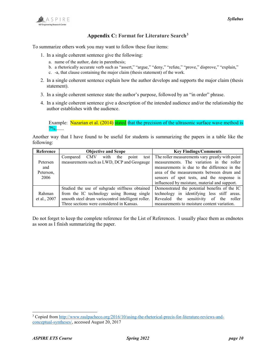

#### Appendix C: Format for Literature Search<sup>3</sup>

To summarize others work you may want to follow these four items:

- 1. In a single coherent sentence give the following:
	- a. name of the author, date in parenthesis;
	- b. a rhetorically accurate verb such as "assert," "argue," "deny," "refute," "prove," disprove," "explain,"
	- c. -a, that clause containing the major claim (thesis statement) of the work.
- 2. In a single coherent sentence explain how the author develops and supports the major claim (thesis statement).
- 3. In a single coherent sentence state the author's purpose, followed by an "in order" phrase.
- 4. In a single coherent sentence give a description of the intended audience and/or the relationship the author establishes with the audience.

Example: Nazarian et al. (2014) stated that the precision of the ultrasonic surface wave method is  $7\%$ .......

Another way that I have found to be useful for students is summarizing the papers in a table like the following:

| Reference    | <b>Objective and Scope</b>                         | <b>Key Findings/Comments</b>                    |
|--------------|----------------------------------------------------|-------------------------------------------------|
|              | CMV with the<br>Compared<br>point<br>test          | The roller measurements vary greatly with point |
| Petersen     | measurements such as LWD, DCP and Geogauge         | measurements. The variation in the roller       |
| and          |                                                    | measurements is due to the difference in the    |
| Peterson,    |                                                    | area of the measurements between drum and       |
| 2006         |                                                    | sensors of spot tests, and the response is      |
|              |                                                    | influenced by moisture, material and support.   |
|              | Studied the use of subgrade stiffness obtained     | Demonstrated the potential benefits of the IC   |
| Rahman       | from the IC technology using Bomag single          | technology in identifying less stiff areas.     |
| et al., 2007 | smooth steel drum variocontrol intelligent roller. | Revealed the sensitivity of the roller          |
|              | Three sections were considered in Kansas.          | measurements to moisture content variation.     |

Do not forget to keep the complete reference for the List of References. I usually place them as endnotes as soon as I finish summarizing the paper.

l

<sup>&</sup>lt;sup>3</sup> Copied from http://www.raulpacheco.org/2016/10/using-the-rhetorical-precis-for-literature-reviews-andconceptual-syntheses/, accessed August 20, 2017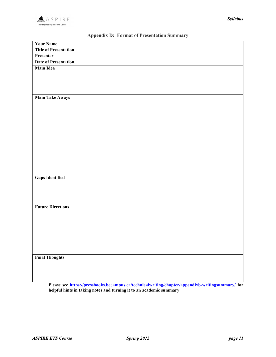

| <b>Your Name</b>             |  |
|------------------------------|--|
| <b>Title of Presentation</b> |  |
| Presenter                    |  |
| <b>Date of Presentation</b>  |  |
| <b>Main Idea</b>             |  |
|                              |  |
|                              |  |
|                              |  |
|                              |  |
| <b>Main Take Aways</b>       |  |
|                              |  |
|                              |  |
|                              |  |
|                              |  |
|                              |  |
|                              |  |
|                              |  |
|                              |  |
|                              |  |
|                              |  |
|                              |  |
|                              |  |
| <b>Gaps Identified</b>       |  |
|                              |  |
|                              |  |
|                              |  |
| <b>Future Directions</b>     |  |
|                              |  |
|                              |  |
|                              |  |
|                              |  |
|                              |  |
|                              |  |
|                              |  |
|                              |  |
| <b>Final Thoughts</b>        |  |
|                              |  |
|                              |  |
|                              |  |
|                              |  |

# Appendix D: Format of Presentation Summary

Please see https://pressbooks.bccampus.ca/technicalwriting/chapter/appendixb-writingsummary/ for helpful hints in taking notes and turning it to an academic summary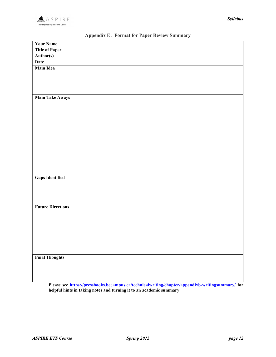

| <b>Your Name</b>         |                                                                     |  |
|--------------------------|---------------------------------------------------------------------|--|
| <b>Title of Paper</b>    |                                                                     |  |
| Author(s)                |                                                                     |  |
| <b>Date</b>              |                                                                     |  |
| <b>Main Idea</b>         |                                                                     |  |
|                          |                                                                     |  |
|                          |                                                                     |  |
| <b>Main Take Aways</b>   |                                                                     |  |
|                          |                                                                     |  |
|                          |                                                                     |  |
|                          |                                                                     |  |
|                          |                                                                     |  |
|                          |                                                                     |  |
|                          |                                                                     |  |
|                          |                                                                     |  |
|                          |                                                                     |  |
| <b>Gaps Identified</b>   |                                                                     |  |
|                          |                                                                     |  |
|                          |                                                                     |  |
| <b>Future Directions</b> |                                                                     |  |
|                          |                                                                     |  |
|                          |                                                                     |  |
|                          |                                                                     |  |
|                          |                                                                     |  |
|                          |                                                                     |  |
| <b>Final Thoughts</b>    |                                                                     |  |
|                          |                                                                     |  |
|                          |                                                                     |  |
| $\mathbf{m}$             | $\bullet$ . $\bullet$<br>$\mathbf{u} \cdot \mathbf{v}$<br>$\ddotsc$ |  |

# Appendix E: Format for Paper Review Summary

Please see https://pressbooks.bccampus.ca/technicalwriting/chapter/appendixb-writingsummary/ for helpful hints in taking notes and turning it to an academic summary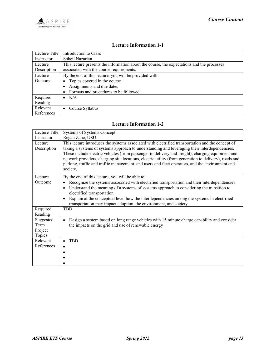| Lecture Title | Introduction to Class                                                                      |  |  |
|---------------|--------------------------------------------------------------------------------------------|--|--|
| Instructor    | Soheil Nazarian                                                                            |  |  |
| Lecture       | This lecture presents the information about the course, the expectations and the processes |  |  |
| Description   | associated with the course requirements.                                                   |  |  |
| Lecture       | By the end of this lecture, you will be provided with:                                     |  |  |
| Outcome       | Topics covered in the course                                                               |  |  |
|               | Assignments and due dates                                                                  |  |  |
|               | • Formats and procedures to be followed                                                    |  |  |
| Required      | $\bullet$ N/A                                                                              |  |  |
| Reading       |                                                                                            |  |  |
| Relevant      | Course Syllabus<br>$\bullet$                                                               |  |  |
| References    |                                                                                            |  |  |

#### Lecture Information 1-1

# Lecture Information 1-2

| Lecture Title                          | Systems of Systems Concept                                                                                                                                                                                                                                                                                                                                                                                                                                                                                                     |
|----------------------------------------|--------------------------------------------------------------------------------------------------------------------------------------------------------------------------------------------------------------------------------------------------------------------------------------------------------------------------------------------------------------------------------------------------------------------------------------------------------------------------------------------------------------------------------|
| Instructor                             | Regan Zane, USU                                                                                                                                                                                                                                                                                                                                                                                                                                                                                                                |
| Lecture<br>Description                 | This lecture introduces the systems associated with electrified transportation and the concept of<br>taking a systems of systems approach to understanding and leveraging their interdependencies.<br>These include electric vehicles (from passenger to delivery and freight), charging equipment and<br>network providers, charging site locations, electric utility (from generation to delivery), roads and<br>parking, traffic and traffic management, end users and fleet operators, and the environment and<br>society. |
| Lecture<br>Outcome                     | By the end of this lecture, you will be able to:<br>Recognize the systems associated with electrified transportation and their interdependencies<br>Understand the meaning of a systems of systems approach to considering the transition to<br>$\bullet$<br>electrified transportation<br>Explain at the conceptual level how the interdependencies among the systems in electrified<br>$\bullet$<br>transportation may impact adoption, the environment, and society                                                         |
| Required<br>Reading                    | <b>TBD</b>                                                                                                                                                                                                                                                                                                                                                                                                                                                                                                                     |
| Suggested<br>Term<br>Project<br>Topics | Design a system based on long range vehicles with 15 minute charge capability and consider<br>$\bullet$<br>the impacts on the grid and use of renewable energy                                                                                                                                                                                                                                                                                                                                                                 |
| Relevant<br>References                 | <b>TBD</b>                                                                                                                                                                                                                                                                                                                                                                                                                                                                                                                     |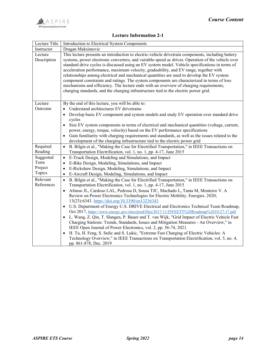### Lecture Information 2-1

| Lecture Title          | Introduction to Electrical System Components                                                                                                                                                                                                                                                                                                                                                                                                                                                                                                                                                                                                                                                                                                                                       |
|------------------------|------------------------------------------------------------------------------------------------------------------------------------------------------------------------------------------------------------------------------------------------------------------------------------------------------------------------------------------------------------------------------------------------------------------------------------------------------------------------------------------------------------------------------------------------------------------------------------------------------------------------------------------------------------------------------------------------------------------------------------------------------------------------------------|
| Instructor             | Dragan Maksimovic                                                                                                                                                                                                                                                                                                                                                                                                                                                                                                                                                                                                                                                                                                                                                                  |
| Lecture<br>Description | This lecture presents an introduction to electric-vehicle drivetrain components, including battery<br>systems, power electronic converters, and variable-speed ac drives. Operation of the vehicle over<br>standard drive cycles is discussed using an EV system model. Vehicle specifications in terms of<br>acceleration performance, maximum velocity, gradeability, and EV range, together with<br>relationships among electrical and mechanical quantities are used to develop the EV system<br>component constraints and ratings. The system components are characterized in terms of loss<br>mechanisms and efficiency. The lecture ends with an overview of charging requirements,<br>charging standards, and the charging infrastructure tied to the electric power grid. |
| Lecture                | By the end of this lecture, you will be able to:                                                                                                                                                                                                                                                                                                                                                                                                                                                                                                                                                                                                                                                                                                                                   |
| Outcome                | Understand architectures EV drivetrains                                                                                                                                                                                                                                                                                                                                                                                                                                                                                                                                                                                                                                                                                                                                            |
|                        | Develop basic EV component and system models and study EV operation over standard drive<br>cycles                                                                                                                                                                                                                                                                                                                                                                                                                                                                                                                                                                                                                                                                                  |
|                        | Size EV system components in terms of electrical and mechanical quantities (voltage, current,                                                                                                                                                                                                                                                                                                                                                                                                                                                                                                                                                                                                                                                                                      |
|                        | power, energy, torque, velocity) based on the EV performance specifications                                                                                                                                                                                                                                                                                                                                                                                                                                                                                                                                                                                                                                                                                                        |
|                        | Gain familiarity with charging requirements and standards, as well as the issues related to the                                                                                                                                                                                                                                                                                                                                                                                                                                                                                                                                                                                                                                                                                    |
|                        | development of the charging infrastructure tied to the electric power grid                                                                                                                                                                                                                                                                                                                                                                                                                                                                                                                                                                                                                                                                                                         |
|                        |                                                                                                                                                                                                                                                                                                                                                                                                                                                                                                                                                                                                                                                                                                                                                                                    |
| Required               | B. Bilgin et al., "Making the Case for Electrified Transportation," in IEEE Transactions on<br>$\bullet$                                                                                                                                                                                                                                                                                                                                                                                                                                                                                                                                                                                                                                                                           |
| Reading                | Transportation Electrification, vol. 1, no. 1, pp. 4-17, June 2015                                                                                                                                                                                                                                                                                                                                                                                                                                                                                                                                                                                                                                                                                                                 |
| Suggested              | E-Truck Design, Modeling and Simulations, and Impact<br>$\bullet$                                                                                                                                                                                                                                                                                                                                                                                                                                                                                                                                                                                                                                                                                                                  |
| Term                   | E-Bike Design, Modeling, Simulations, and Impact<br>$\bullet$                                                                                                                                                                                                                                                                                                                                                                                                                                                                                                                                                                                                                                                                                                                      |
| Project<br>Topics      | E-Rickshaw Design, Modeling, Simulations, and Impact<br>$\bullet$                                                                                                                                                                                                                                                                                                                                                                                                                                                                                                                                                                                                                                                                                                                  |
| Relevant               | E-Aircraft Design, Modeling, Simulations, and Impact<br>$\bullet$<br>$\bullet$                                                                                                                                                                                                                                                                                                                                                                                                                                                                                                                                                                                                                                                                                                     |
| References             | B. Bilgin et al., "Making the Case for Electrified Transportation," in IEEE Transactions on                                                                                                                                                                                                                                                                                                                                                                                                                                                                                                                                                                                                                                                                                        |
|                        | Transportation Electrification, vol. 1, no. 1, pp. 4-17, June 2015<br>Afonso JL, Cardoso LAL, Pedrosa D, Sousa TJC, Machado L, Tanta M, Monteiro V. A                                                                                                                                                                                                                                                                                                                                                                                                                                                                                                                                                                                                                              |
|                        | Review on Power Electronics Technologies for Electric Mobility. Energies. 2020;                                                                                                                                                                                                                                                                                                                                                                                                                                                                                                                                                                                                                                                                                                    |
|                        | 13(23):6343. https://doi.org/10.3390/en13236343                                                                                                                                                                                                                                                                                                                                                                                                                                                                                                                                                                                                                                                                                                                                    |
|                        | U.S. Department of Energy U.S. DRIVE Electrical and Electronics Technical Team Roadmap,<br>$\bullet$                                                                                                                                                                                                                                                                                                                                                                                                                                                                                                                                                                                                                                                                               |
|                        | Oct 2017, https://www.energy.gov/sites/prod/files/2017/11/f39/EETT%20Roadmap%2010-27-17.pdf                                                                                                                                                                                                                                                                                                                                                                                                                                                                                                                                                                                                                                                                                        |
|                        | L. Wang, Z. Qin, T. Slangen, P. Bauer and T. van Wijk, "Grid Impact of Electric Vehicle Fast<br>$\bullet$                                                                                                                                                                                                                                                                                                                                                                                                                                                                                                                                                                                                                                                                          |
|                        | Charging Stations: Trends, Standards, Issues and Mitigation Measures - An Overview," in                                                                                                                                                                                                                                                                                                                                                                                                                                                                                                                                                                                                                                                                                            |
|                        | IEEE Open Journal of Power Electronics, vol. 2, pp. 56-74, 2021.                                                                                                                                                                                                                                                                                                                                                                                                                                                                                                                                                                                                                                                                                                                   |
|                        | H. Tu, H. Feng, S. Srdic and S. Lukic, "Extreme Fast Charging of Electric Vehicles: A<br>Technology Overview," in IEEE Transactions on Transportation Electrification, vol. 5, no. 4,                                                                                                                                                                                                                                                                                                                                                                                                                                                                                                                                                                                              |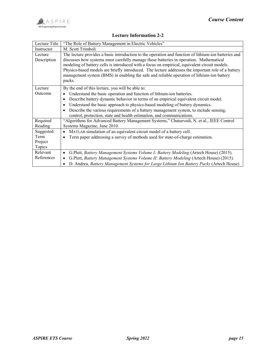### Lecture Information 2-2

| Lecture Title | "The Role of Battery Management in Electric Vehicles"                                                                                                                                   |
|---------------|-----------------------------------------------------------------------------------------------------------------------------------------------------------------------------------------|
| Instructor    | M. Scott Trimboli                                                                                                                                                                       |
| Lecture       | The lecture provides a basic introduction to the operation and function of lithium-ion batteries and                                                                                    |
| Description   | discusses how systems must carefully manage these batteries in operation. Mathematical<br>modeling of battery cells is introduced with a focus on empirical, equivalent circuit models. |
|               | Physics-based models are briefly introduced. The lecture addresses the important role of a battery                                                                                      |
|               | management system (BMS) in enabling the safe and reliable operation of lithium-ion battery                                                                                              |
|               | packs.                                                                                                                                                                                  |
|               |                                                                                                                                                                                         |
| Lecture       | By the end of this lecture, you will be able to:                                                                                                                                        |
| Outcome       | Understand the basic operation and function of lithium-ion batteries.                                                                                                                   |
|               | Describe battery dynamic behavior in terms of an empirical equivalent circuit model.<br>$\bullet$                                                                                       |
|               | Understand the basic approach to physics-based modeling of battery dynamics.                                                                                                            |
|               | Describe the various requirements of a battery management system, to include sensing,<br>٠                                                                                              |
|               | control, protection, state and health estimation, and communications.                                                                                                                   |
| Required      | "Algorithms for Advanced Battery Management Systems," Chaturvedi, N. et al., IEEE Control                                                                                               |
| Reading       | Systems Magazine, June 2010.                                                                                                                                                            |
| Suggested     | MATLAB simulation of an equivalent circuit model of a battery cell.<br>$\bullet$                                                                                                        |
| Term          | Term paper addressing a survey of methods used for state-of-charge estimation.                                                                                                          |
| Project       |                                                                                                                                                                                         |
| Topics        |                                                                                                                                                                                         |
| Relevant      | G.Plett, Battery Management Systems Volume I: Battery Modeling (Artech House) (2015).<br>٠                                                                                              |
| References    | G.Plett, Battery Management Systems Volume II: Battery Modeling (Artech House) (2015).<br>$\bullet$                                                                                     |
|               | D. Andrea, Battery Management Systems for Large Lithium Ion Battery Packs (Artech House)                                                                                                |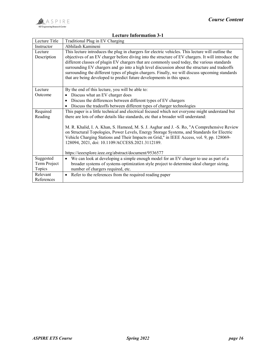# Lecture Information 3-1

| Lecture Title          | Traditional Plug in EV Charging                                                                                                                                                                                                                                                                        |
|------------------------|--------------------------------------------------------------------------------------------------------------------------------------------------------------------------------------------------------------------------------------------------------------------------------------------------------|
| Instructor             | Abhilash Kamineni                                                                                                                                                                                                                                                                                      |
| Lecture<br>Description | This lecture introduces the plug in chargers for electric vehicles. This lecture will outline the<br>objectives of an EV charger before diving into the structure of EV chargers. It will introduce the<br>different classes of plugin EV chargers that are commonly used today, the various standards |
|                        | surrounding EV chargers and go into a high level discussion about the structure and tradeoffs                                                                                                                                                                                                          |
|                        | surrounding the different types of plugin chargers. Finally, we will discuss upcoming standards<br>that are being developed to predict future developments in this space.                                                                                                                              |
|                        |                                                                                                                                                                                                                                                                                                        |
| Lecture                | By the end of this lecture, you will be able to:                                                                                                                                                                                                                                                       |
| Outcome                | Discuss what an EV charger does                                                                                                                                                                                                                                                                        |
|                        | Discuss the differences between different types of EV chargers                                                                                                                                                                                                                                         |
|                        | Discuss the tradeoffs between different types of charger technologies<br>$\bullet$                                                                                                                                                                                                                     |
| Required               | This paper is a little technical and electrical focused which not everyone might understand but                                                                                                                                                                                                        |
| Reading                | there are lots of other details like standards, etc that a broader will understand:                                                                                                                                                                                                                    |
|                        | M. R. Khalid, I. A. Khan, S. Hameed, M. S. J. Asghar and J. - S. Ro, "A Comprehensive Review                                                                                                                                                                                                           |
|                        | on Structural Topologies, Power Levels, Energy Storage Systems, and Standards for Electric                                                                                                                                                                                                             |
|                        | Vehicle Charging Stations and Their Impacts on Grid," in IEEE Access, vol. 9, pp. 128069-                                                                                                                                                                                                              |
|                        | 128094, 2021, doi: 10.1109/ACCESS.2021.3112189.                                                                                                                                                                                                                                                        |
|                        |                                                                                                                                                                                                                                                                                                        |
|                        | https://ieeexplore.ieee.org/abstract/document/9536577                                                                                                                                                                                                                                                  |
| Suggested              | We can look at developing a simple enough model for an EV charger to use as part of a                                                                                                                                                                                                                  |
| Term Project           | broader systems of systems optimization style project to determine ideal charger sizing,                                                                                                                                                                                                               |
| Topics                 | number of chargers required, etc.                                                                                                                                                                                                                                                                      |
| Relevant               | Refer to the references from the required reading paper<br>$\bullet$                                                                                                                                                                                                                                   |
| References             |                                                                                                                                                                                                                                                                                                        |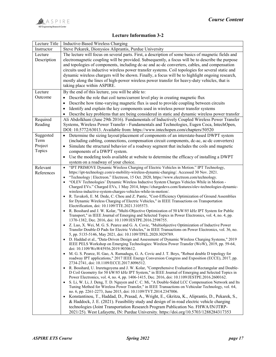#### Lecture Information 3-2

| Lecture Title | Inductive-Based Wireless Charging                                                                                                                                                                 |
|---------------|---------------------------------------------------------------------------------------------------------------------------------------------------------------------------------------------------|
| Instructor    | Steve Pekarek, Dionysios Aliprantis, Purdue University                                                                                                                                            |
| Lecture       | The lecture will focus on several parts. First, a description of some basics of magnetic fields and                                                                                               |
| Description   | electromagnetic coupling will be provided. Subsequently, a focus will be to describe the purpose                                                                                                  |
|               | and topologies of components, including dc-ac and ac-dc converters, cables, and compensation                                                                                                      |
|               | circuits used in inductive wireless power transfer systems. Coil topologies for several static and                                                                                                |
|               | dynamic wireless chargers will be shown. Finally, a focus will be to highlight ongoing research,                                                                                                  |
|               | mostly along the lines of high-power wireless power transfer for heavy-duty vehicles, that is                                                                                                     |
|               | taking place within ASPIRE.                                                                                                                                                                       |
| Lecture       | By the end of this lecture, you will be able to:                                                                                                                                                  |
| Outcome       | Describe the role that coil turns/current level play in creating magnetic flux                                                                                                                    |
|               | Describe how time-varying magnetic flux is used to provide coupling between circuits<br>$\bullet$                                                                                                 |
|               | Identify and explain the key components used in wireless power transfer systems<br>٠                                                                                                              |
|               | Describe key problems that are being considered in static and dynamic wireless power transfer<br>$\bullet$                                                                                        |
| Required      | Ali Abdolkhani (June 29th 2016). Fundamentals of Inductively Coupled Wireless Power Transfer                                                                                                      |
| Reading       | Systems, Wireless Power Transfer - Fundamentals and Technologies, Eugen Coca, IntechOpen,                                                                                                         |
|               | DOI: 10.5772/63013. Available from: https://www.intechopen.com/chapters/50520                                                                                                                     |
| Suggested     | Determine the sizing layout/placement of components of an interstate-based DWPT system<br>$\bullet$                                                                                               |
| Term          | (including cabling, connections, compensation circuit components, dc-ac, ac-dc converters)                                                                                                        |
| Project       | Simulate the structural behavior of a roadway segment that includes the coils and magnetic                                                                                                        |
| Topics        | components of a DWPT system.                                                                                                                                                                      |
|               | Use the modeling tools available at website to determine the efficacy of installing a DWPT                                                                                                        |
|               | system on a roadway of your choice.                                                                                                                                                               |
| Relevant      | "IPT PRIMOVE Dynamic Wireless Charging of Electric Vehicles in Motion." IPT Technology,<br>$\bullet$                                                                                              |
| References    | https://ipt-technology.com/e-mobility-wireless-dynamic-charging/. Accessed 30 Nov. 2021.<br>"Technology   Electreon." Electreon, 15 Oct. 2020, https://www.electreon.com/technology.<br>$\bullet$ |
|               | "OLEV Technologies' Dynamic Wireless Inductive System Charges Vehicles While in Motion -<br>$\bullet$                                                                                             |
|               | Charged EVs." Charged EVs, 1 May 2014, https://chargedevs.com/features/olev-technologies-dynamic-                                                                                                 |
|               | wireless-inductive-system-charges-vehicles-while-in-motion/.                                                                                                                                      |
|               | R. Tavakoli, E. M. Dede, C. Chou and Z. Pantic, "Cost-Efficiency Optimization of Ground Assemblies<br>$\bullet$                                                                                   |
|               | for Dynamic Wireless Charging of Electric Vehicles," in IEEE Transactions on Transportation                                                                                                       |
|               | Electrification, doi: 10.1109/TTE.2021.3105573.<br>R. Bosshard and J. W. Kolar, "Multi-Objective Optimization of 50 kW/85 kHz IPT System for Public                                               |
|               | Transport," in IEEE Journal of Emerging and Selected Topics in Power Electronics, vol. 4, no. 4, pp.                                                                                              |
|               | 1370-1382, Dec. 2016, doi: 10.1109/JESTPE.2016.2598755.                                                                                                                                           |
|               | Z. Luo, X. Wei, M. G. S. Pearce and G. A. Covic, "Multiobjective Optimization of Inductive Power<br>$\bullet$                                                                                     |
|               | Transfer Double-D Pads for Electric Vehicles," in IEEE Transactions on Power Electronics, vol. 36, no.                                                                                            |
|               | 5, pp. 5135-5146, May 2021, doi: 10.1109/TPEL.2020.3029789.                                                                                                                                       |
|               | D. Haddad et al., "Data-Driven Design and Assessment of Dynamic Wireless Charging Systems," 2019                                                                                                  |
|               | IEEE PELS Workshop on Emerging Technologies: Wireless Power Transfer (WoW), 2019, pp. 59-64,<br>doi: 10.1109/WoW45936.2019.9030612.                                                               |
|               | M. G. S. Pearce, H. Gao, A. Ramadugu, G. A. Covic and J. T. Boys, "Robust double D topology for                                                                                                   |
|               | roadway IPT applications," 2017 IEEE Energy Conversion Congress and Exposition (ECCE), 2017, pp.                                                                                                  |
|               | 2734-2741, doi: 10.1109/ECCE.2017.8096512.                                                                                                                                                        |
|               | R. Bosshard, U. Iruretagoyena and J. W. Kolar, "Comprehensive Evaluation of Rectangular and Double-<br>$\bullet$                                                                                  |
|               | D Coil Geometry for 50 kW/85 kHz IPT System," in IEEE Journal of Emerging and Selected Topics in<br>Power Electronics, vol. 4, no. 4, pp. 1406-1415, Dec. 2016, doi: 10.1109/JESTPE.2016.2600162. |
|               | S. Li, W. Li, J. Deng, T. D. Nguyen and C. C. Mi, "A Double-Sided LCC Compensation Network and Its<br>$\bullet$                                                                                   |
|               | Tuning Method for Wireless Power Transfer," in IEEE Transactions on Vehicular Technology, vol. 64,                                                                                                |
|               | no. 6, pp. 2261-2273, June 2015, doi: 10.1109/TVT.2014.2347006.                                                                                                                                   |
|               | Konstantinou, T., Haddad, D., Prasad, A., Wright, E., Gkritza, K., Aliprantis, D., Pekarek, S.,<br>$\bullet$                                                                                      |
|               | & Haddock, J. E. (2021). Feasibility study and design of in-road electric vehicle charging                                                                                                        |
|               | technologies (Joint Transportation Research Program Publication No. FHWA/IN/JTRP-                                                                                                                 |
|               | 2021/25). West Lafayette, IN: Purdue University. https://doi.org/10.5703/1288284317353                                                                                                            |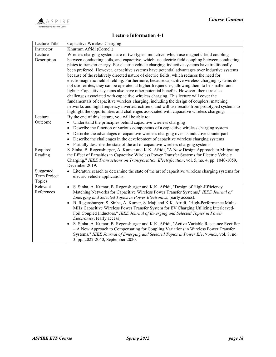# Lecture Information 4-1

| Khurram Afridi (Cornell)<br>Instructor<br>Wireless charging systems are of two types: inductive, which use magnetic field coupling<br>Lecture<br>between conducting coils, and capacitive, which use electric field coupling between conducting<br>Description<br>plates to transfer energy. For electric vehicle charging, inductive systems have traditionally |
|------------------------------------------------------------------------------------------------------------------------------------------------------------------------------------------------------------------------------------------------------------------------------------------------------------------------------------------------------------------|
|                                                                                                                                                                                                                                                                                                                                                                  |
|                                                                                                                                                                                                                                                                                                                                                                  |
|                                                                                                                                                                                                                                                                                                                                                                  |
|                                                                                                                                                                                                                                                                                                                                                                  |
| been preferred. However, capacitive systems have potential advantages over inductive systems                                                                                                                                                                                                                                                                     |
| because of the relatively directed nature of electric fields, which reduces the need for                                                                                                                                                                                                                                                                         |
| electromagnetic field shielding. Furthermore, because capacitive wireless charging systems do                                                                                                                                                                                                                                                                    |
| not use ferrites, they can be operated at higher frequencies, allowing them to be smaller and                                                                                                                                                                                                                                                                    |
| lighter. Capacitive systems also have other potential benefits. However, there are also                                                                                                                                                                                                                                                                          |
| challenges associated with capacitive wireless charging. This lecture will cover the                                                                                                                                                                                                                                                                             |
| fundamentals of capacitive wireless charging, including the design of couplers, matching                                                                                                                                                                                                                                                                         |
| networks and high-frequency inverter/rectifiers, and will use results from prototyped systems to                                                                                                                                                                                                                                                                 |
| highlight the opportunities and challenges associated with capacitive wireless charging.                                                                                                                                                                                                                                                                         |
| Lecture<br>By the end of this lecture, you will be able to:                                                                                                                                                                                                                                                                                                      |
| Outcome<br>Understand the principles behind capacitive wireless charging                                                                                                                                                                                                                                                                                         |
| Describe the function of various components of a capacitive wireless charging system<br>$\bullet$                                                                                                                                                                                                                                                                |
| Describe the advantages of capacitive wireless charging over its inductive counterpart                                                                                                                                                                                                                                                                           |
| Describe the challenges in the development of capacitive wireless charging systems                                                                                                                                                                                                                                                                               |
| Partially describe the state of the art of capacitive wireless charging systems                                                                                                                                                                                                                                                                                  |
| S. Sinha, B. Regensburger, A. Kumar and K.K. Afridi, "A New Design Approach to Mitigating<br>Required                                                                                                                                                                                                                                                            |
| the Effect of Parasitics in Capacitive Wireless Power Transfer Systems for Electric Vehicle<br>Reading                                                                                                                                                                                                                                                           |
| Charging," IEEE Transactions on Transportation Electrification, vol. 5, no. 4, pp. 1040-1059,                                                                                                                                                                                                                                                                    |
| December 2019.                                                                                                                                                                                                                                                                                                                                                   |
| Suggested<br>Literature search to determine the state of the art of capacitive wireless charging systems for<br>$\bullet$                                                                                                                                                                                                                                        |
| Term Project<br>electric vehicle applications.                                                                                                                                                                                                                                                                                                                   |
| Topics<br>Relevant                                                                                                                                                                                                                                                                                                                                               |
| S. Sinha, A. Kumar, B. Regensburger and K.K. Afridi, "Design of High-Efficiency<br>$\bullet$<br>References                                                                                                                                                                                                                                                       |
| Matching Networks for Capacitive Wireless Power Transfer Systems," IEEE Journal of                                                                                                                                                                                                                                                                               |
| Emerging and Selected Topics in Power Electronics, (early access).                                                                                                                                                                                                                                                                                               |
| B. Regensburger, S. Sinha, A. Kumar, S. Maji and K.K. Afridi, "High-Performance Multi-<br>$\bullet$                                                                                                                                                                                                                                                              |
| MHz Capacitive Wireless Power Transfer System for EV Charging Utilizing Interleaved-                                                                                                                                                                                                                                                                             |
| Foil Coupled Inductors," IEEE Journal of Emerging and Selected Topics in Power                                                                                                                                                                                                                                                                                   |
| Electronics, (early access).                                                                                                                                                                                                                                                                                                                                     |
| S. Sinha, A. Kumar, B. Regensburger and K.K. Afridi, "Active Variable Reactance Rectifier                                                                                                                                                                                                                                                                        |
| - A New Approach to Compensating for Coupling Variations in Wireless Power Transfer                                                                                                                                                                                                                                                                              |
| Systems," IEEE Journal of Emerging and Selected Topics in Power Electronics, vol. 8, no.<br>3, pp. 2022-2040, September 2020.                                                                                                                                                                                                                                    |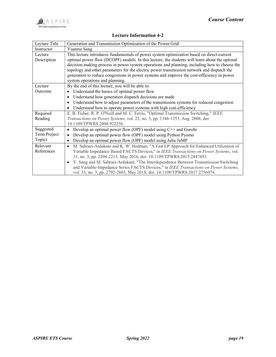

### Lecture Information 4-2

| Lecture Title | Generation and Transmission Optimization of the Power Grid                                         |
|---------------|----------------------------------------------------------------------------------------------------|
| Instructor    | Yuanrui Sang                                                                                       |
| Lecture       | This lecture introduces fundamentals of power system optimization based on direct-current          |
| Description   | optimal power flow (DCOPF) models. In this lecture, the students will learn about the optimal      |
|               | decision-making process in power system operations and planning, including how to choose the       |
|               | topology and other parameters for the electric power transmission network and dispatch the         |
|               | generation to reduce congestions in power systems and improve the cost-efficiency in power         |
|               | system operations and planning.                                                                    |
| Lecture       | By the end of this lecture, you will be able to:                                                   |
| Outcome       | Understand the basics of optimal power flow                                                        |
|               | Understand how generation dispatch decisions are made                                              |
|               | Understand how to adjust parameters of the transmission systems for reduced congestion             |
|               | Understand how to operate power systems with high cost-efficiency                                  |
| Required      | E. B. Fisher, R. P. O'Neill and M. C. Ferris, "Optimal Transmission Switching," IEEE               |
| Reading       | Transactions on Power Systems, vol. 23, no. 3, pp. 1346-1355, Aug. 2008, doi:                      |
|               | 10.1109/TPWRS.2008.922256.                                                                         |
| Suggested     | Develop an optimal power flow (OPF) model using $C++$ and Gurobi                                   |
| Term Project  | Develop an optimal power flow (OPF) model using Python Pyomo                                       |
| Topics        | Develop an optimal power flow (OPF) model using Julia JuMP                                         |
| Relevant      | M. Sahraei-Ardakani and K. W. Hedman, "A Fast LP Approach for Enhanced Utilization of<br>$\bullet$ |
| References    | Variable Impedance Based FACTS Devices," in IEEE Transactions on Power Systems, vol.               |
|               | 31, no. 3, pp. 2204-2213, May 2016, doi: 10.1109/TPWRS.2015.2447453.                               |
|               | Y. Sang and M. Sahraei-Ardakani, "The Interdependence Between Transmission Switching               |
|               | and Variable-Impedance Series FACTS Devices," in IEEE Transactions on Power Systems,               |
|               | vol. 33, no. 3, pp. 2792-2803, May 2018, doi: 10.1109/TPWRS.2017.2756074.                          |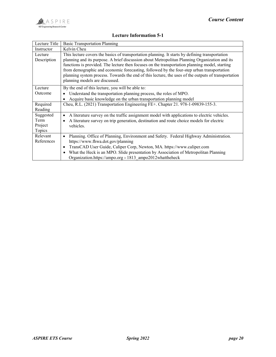# Lecture Information 5-1

| Lecture Title | <b>Basic Transportation Planning</b>                                                                     |
|---------------|----------------------------------------------------------------------------------------------------------|
| Instructor    | Kelvin Cheu                                                                                              |
| Lecture       | This lecture covers the basics of transportation planning. It starts by defining transportation          |
| Description   | planning and its purpose. A brief discussion about Metropolitan Planning Organization and its            |
|               | functions is provided. The lecture then focuses on the transportation planning model, starting           |
|               | from demographic and economic forecasting, followed by the four-step urban transportation                |
|               | planning system process. Towards the end of this lecture, the uses of the outputs of transportation      |
|               | planning models are discussed.                                                                           |
| Lecture       | By the end of this lecture, you will be able to:                                                         |
| Outcome       | Understand the transportation planning process, the roles of MPO.<br>$\bullet$                           |
|               | Acquire basic knowledge on the urban transportation planning model                                       |
| Required      | Cheu, R.L. (2021) Transportation Engineering FE+. Chapter 21. 978-1-09839-155-3.                         |
| Reading       |                                                                                                          |
| Suggested     | A literature survey on the traffic assignment model with applications to electric vehicles.<br>$\bullet$ |
| Term          | A literature survey on trip generation, destination and route choice models for electric                 |
| Project       | vehicles.                                                                                                |
| Topics        |                                                                                                          |
| Relevant      | Planning. Office of Planning, Environment and Safety. Federal Highway Administration.                    |
| References    | https://www.fhwa.dot.gov/planning                                                                        |
|               | TransCAD User Guide, Caliper Corp, Newton, MA. https://www.caliper.com<br>$\bullet$                      |
|               | What the Heck is an MPO. Slide presentation by Association of Metropolitan Planning<br>$\bullet$         |
|               | Organization.https://ampo.org > 1813 ampo2012whattheheck                                                 |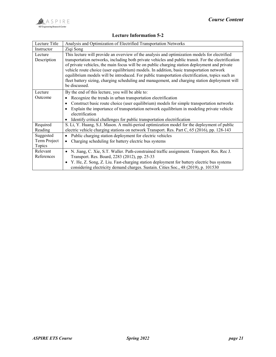#### Lecture Information 5-2

| Lecture Title                       | Analysis and Optimization of Electrified Transportation Networks                                                                                                                                                                                                                                                                                                                                                                                                                                                                                                                                                           |
|-------------------------------------|----------------------------------------------------------------------------------------------------------------------------------------------------------------------------------------------------------------------------------------------------------------------------------------------------------------------------------------------------------------------------------------------------------------------------------------------------------------------------------------------------------------------------------------------------------------------------------------------------------------------------|
| Instructor                          | Ziqi Song                                                                                                                                                                                                                                                                                                                                                                                                                                                                                                                                                                                                                  |
| Lecture<br>Description              | This lecture will provide an overview of the analysis and optimization models for electrified<br>transportation networks, including both private vehicles and public transit. For the electrification<br>of private vehicles, the main focus will be on public charging station deployment and private<br>vehicle route choice (user equilibrium) models. In addition, basic transportation network<br>equilibrium models will be introduced. For public transportation electrification, topics such as<br>fleet battery sizing, charging scheduling and management, and charging station deployment will<br>be discussed. |
| Lecture<br>Outcome                  | By the end of this lecture, you will be able to:<br>Recognize the trends in urban transportation electrification<br>Construct basic route choice (user equilibrium) models for simple transportation networks<br>Explain the importance of transportation network equilibrium in modeling private vehicle<br>electrification<br>Identify critical challenges for public transportation electrification                                                                                                                                                                                                                     |
| Required<br>Reading                 | S. Li, Y. Huang, S.J. Mason. A multi-period optimization model for the deployment of public<br>electric vehicle charging stations on network Transport. Res. Part C, 65 (2016), pp. 128-143                                                                                                                                                                                                                                                                                                                                                                                                                                |
| Suggested<br>Term Project<br>Topics | Public charging station deployment for electric vehicles<br>Charging scheduling for battery electric bus systems                                                                                                                                                                                                                                                                                                                                                                                                                                                                                                           |
| Relevant<br>References              | N. Jiang, C. Xie, S.T. Waller. Path-constrained traffic assignment. Transport. Res. Rec J.<br>Transport. Res. Board, 2283 (2012), pp. 25-33<br>• Y. He, Z. Song, Z. Liu. Fast-charging station deployment for battery electric bus systems<br>considering electricity demand charges. Sustain. Cities Soc., 48 (2019), p. 101530                                                                                                                                                                                                                                                                                           |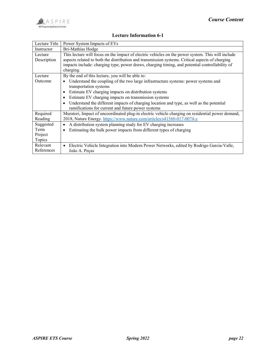# Lecture Information 6-1

| Lecture Title | Power System Impacts of EVs                                                                           |
|---------------|-------------------------------------------------------------------------------------------------------|
| Instructor    | Bri-Mathias Hodge                                                                                     |
| Lecture       | This lecture will focus on the impact of electric vehicles on the power system. This will include     |
| Description   | aspects related to both the distribution and transmission systems. Critical aspects of charging       |
|               | impacts include: charging type, power draws, charging timing, and potential controllability of        |
|               | charging.                                                                                             |
| Lecture       | By the end of this lecture, you will be able to:                                                      |
| Outcome       | Understand the coupling of the two large infrastructure systems: power systems and                    |
|               | transportation systems                                                                                |
|               | Estimate EV charging impacts on distribution systems                                                  |
|               | Estimate EV charging impacts on transmission systems                                                  |
|               | Understand the different impacts of charging location and type, as well as the potential              |
|               | ramifications for current and future power systems                                                    |
| Required      | Muratori, Impact of uncoordinated plug-in electric vehicle charging on residential power demand,      |
| Reading       | 2018, Nature Energy. https://www.nature.com/articles/s41560-017-0074-z                                |
| Suggested     | A distribution system planning study for EV charging increases<br>$\bullet$                           |
| Term          | Estimating the bulk power impacts from different types of charging                                    |
| Project       |                                                                                                       |
| Topics        |                                                                                                       |
| Relevant      | Electric Vehicle Integration into Modern Power Networks, edited by Rodrigo Garcia-Valle,<br>$\bullet$ |
| References    | João A. Peças                                                                                         |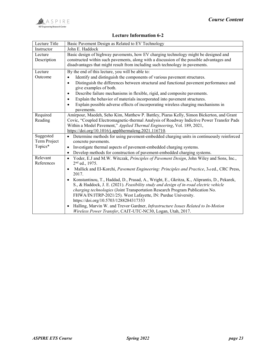

# Lecture Information 6-2

| Lecture Title          | Basic Pavement Design as Related to EV Technology                                                                                                                                                                                                                |
|------------------------|------------------------------------------------------------------------------------------------------------------------------------------------------------------------------------------------------------------------------------------------------------------|
| Instructor             | John E. Haddock                                                                                                                                                                                                                                                  |
| Lecture<br>Description | Basic design of highway pavements, how EV charging technology might be designed and<br>constructed within such pavements, along with a discussion of the possible advantages and<br>disadvantages that might result from including such technology in pavements. |
| Lecture                | By the end of this lecture, you will be able to:                                                                                                                                                                                                                 |
| Outcome                | Identify and distinguish the components of various pavement structures.                                                                                                                                                                                          |
|                        | Distinguish the differences between structural and functional pavement performance and<br>$\bullet$<br>give examples of both.                                                                                                                                    |
|                        | Describe failure mechanisms in flexible, rigid, and composite pavements.                                                                                                                                                                                         |
|                        | Explain the behavior of materials incorporated into pavement structures.                                                                                                                                                                                         |
|                        | Explain possible adverse effects of incorporating wireless charging mechanisms in<br>pavements.                                                                                                                                                                  |
| Required               | Amirpour, Maedeh, Seho Kim, Matthew P. Battley, Piaras Kelly, Simon Bickerton, and Grant                                                                                                                                                                         |
| Reading                | Covic, "Coupled Electromagnetic-thermal Analysis of Roadway Indictive Power Transfer Pads                                                                                                                                                                        |
|                        | Within a Model Pavement," Applied Thermal Engineering, Vol. 189, 2021,                                                                                                                                                                                           |
|                        | https://doi.org/10.1016/j.applthermaleng.2021.116710.                                                                                                                                                                                                            |
| Suggested              | Determine methods for using pavement-embedded charging units in continuously reinforced                                                                                                                                                                          |
| Term Project           | concrete pavements.                                                                                                                                                                                                                                              |
| Topics*                | Investigate thermal aspects of pavement-embedded charging systems.                                                                                                                                                                                               |
|                        | Develop methods for construction of pavement-embedded charging systems.<br>$\bullet$                                                                                                                                                                             |
| Relevant               | • Yoder, E.J and M.W. Witczak, Principles of Pavement Design, John Wiley and Sons, Inc.,                                                                                                                                                                         |
| References             | 2 <sup>nd</sup> ed., 1975.                                                                                                                                                                                                                                       |
|                        | Mallick and El-Korchi, Pavement Engineering: Principles and Practice, 3rd ed., CRC Press,<br>2017.                                                                                                                                                               |
|                        | Konstantinou, T., Haddad, D., Prasad, A., Wright, E., Gkritza, K., Aliprantis, D., Pekarek,                                                                                                                                                                      |
|                        | S., & Haddock, J. E. (2021). Feasibility study and design of in-road electric vehicle                                                                                                                                                                            |
|                        | charging technologies (Joint Transportation Research Program Publication No.                                                                                                                                                                                     |
|                        | FHWA/IN/JTRP-2021/25). West Lafayette, IN: Purdue University.                                                                                                                                                                                                    |
|                        | https://doi.org/10.5703/1288284317353                                                                                                                                                                                                                            |
|                        | Halling, Marvin W. and Trevor Gardner, Infrastructure Issues Related to In-Motion                                                                                                                                                                                |
|                        | Wireless Power Transfer, CAIT-UTC-NC30, Logan, Utah, 2017.                                                                                                                                                                                                       |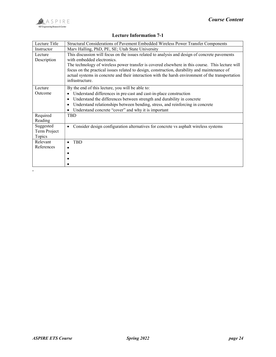#### Lecture Information 7-1

| Lecture Title                       | Structural Considerations of Pavement Embedded Wireless Power Transfer Components                                                                                                                                                                                                                                                                                                                                                                       |
|-------------------------------------|---------------------------------------------------------------------------------------------------------------------------------------------------------------------------------------------------------------------------------------------------------------------------------------------------------------------------------------------------------------------------------------------------------------------------------------------------------|
| Instructor                          | Marv Halling, PhD, PE, SE; Utah State University                                                                                                                                                                                                                                                                                                                                                                                                        |
| Lecture<br>Description              | This discussion will focus on the issues related to analysis and design of concrete pavements<br>with embedded electronics.<br>The technology of wireless power transfer is covered elsewhere in this course. This lecture will<br>focus on the practical issues related to design, construction, durability and maintenance of<br>actual systems in concrete and their interaction with the harsh environment of the transportation<br>infrastructure. |
| Lecture                             | By the end of this lecture, you will be able to:                                                                                                                                                                                                                                                                                                                                                                                                        |
| Outcome                             | Understand differences in pre-cast and cast-in-place construction                                                                                                                                                                                                                                                                                                                                                                                       |
|                                     | Understand the differences between strength and durability in concrete                                                                                                                                                                                                                                                                                                                                                                                  |
|                                     | Understand relationships between bending, stress, and reinforcing in concrete                                                                                                                                                                                                                                                                                                                                                                           |
|                                     | Understand concrete "cover" and why it is important                                                                                                                                                                                                                                                                                                                                                                                                     |
| Required<br>Reading                 | TBD                                                                                                                                                                                                                                                                                                                                                                                                                                                     |
| Suggested<br>Term Project<br>Topics | Consider design configuration alternatives for concrete vs asphalt wireless systems<br>$\bullet$                                                                                                                                                                                                                                                                                                                                                        |
| Relevant                            | <b>TBD</b><br>٠                                                                                                                                                                                                                                                                                                                                                                                                                                         |
| References                          |                                                                                                                                                                                                                                                                                                                                                                                                                                                         |
|                                     |                                                                                                                                                                                                                                                                                                                                                                                                                                                         |
|                                     |                                                                                                                                                                                                                                                                                                                                                                                                                                                         |
|                                     |                                                                                                                                                                                                                                                                                                                                                                                                                                                         |
|                                     |                                                                                                                                                                                                                                                                                                                                                                                                                                                         |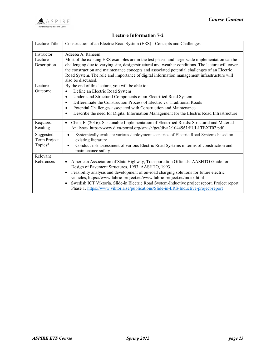#### Lecture Information 7-2

| Lecture Title             | Construction of an Electric Road System (ERS) - Concepts and Challenges                                                                                                                                                                                                                                                                                                                                                 |
|---------------------------|-------------------------------------------------------------------------------------------------------------------------------------------------------------------------------------------------------------------------------------------------------------------------------------------------------------------------------------------------------------------------------------------------------------------------|
| Instructor                | Adeeba A. Raheem                                                                                                                                                                                                                                                                                                                                                                                                        |
| Lecture<br>Description    | Most of the existing ERS examples are in the test phase, and large-scale implementation can be<br>challenging due to varying site, design/structural and weather conditions. The lecture will cover<br>the construction and maintenance concepts and associated potential challenges of an Electric<br>Road System. The role and importance of digital information management infrastructure will<br>also be discussed. |
| Lecture                   | By the end of this lecture, you will be able to:                                                                                                                                                                                                                                                                                                                                                                        |
| Outcome                   | Define an Electric Road System<br>$\bullet$                                                                                                                                                                                                                                                                                                                                                                             |
|                           | Understand Structural Components of an Electrified Road System<br>$\bullet$                                                                                                                                                                                                                                                                                                                                             |
|                           | Differentiate the Construction Process of Electric vs. Traditional Roads<br>٠                                                                                                                                                                                                                                                                                                                                           |
|                           | Potential Challenges associated with Construction and Maintenance<br>$\bullet$                                                                                                                                                                                                                                                                                                                                          |
|                           | Describe the need for Digital Information Management for the Electric Road Infrastructure<br>$\bullet$                                                                                                                                                                                                                                                                                                                  |
| Required<br>Reading       | Chen, F. (2016). Sustainable Implementation of Electrified Roads: Structural and Material<br>$\bullet$<br>Analyses. https://www.diva-portal.org/smash/get/diva2:1044961/FULLTEXT02.pdf                                                                                                                                                                                                                                  |
| Suggested<br>Term Project | Systemically evaluate various deployment scenarios of Electric Road Systems based on<br>$\bullet$<br>existing literature                                                                                                                                                                                                                                                                                                |
| Topics*                   | Conduct risk assessment of various Electric Road Systems in terms of construction and<br>$\bullet$<br>maintenance safety                                                                                                                                                                                                                                                                                                |
| Relevant                  |                                                                                                                                                                                                                                                                                                                                                                                                                         |
| References                | American Association of State Highway, Transportation Officials. AASHTO Guide for<br>٠                                                                                                                                                                                                                                                                                                                                  |
|                           | Design of Pavement Structures, 1993. AASHTO, 1993.                                                                                                                                                                                                                                                                                                                                                                      |
|                           | Feasibility analysis and development of on-road charging solutions for future electric<br>$\bullet$                                                                                                                                                                                                                                                                                                                     |
|                           | vehicles, https://www.fabric-project.eu/www.fabric-project.eu/index.html                                                                                                                                                                                                                                                                                                                                                |
|                           | Swedish ICT Viktoria. Slide-in Electric Road System-Inductive project report. Project report,<br>$\bullet$<br>Phase 1. https://www.viktoria.se/publications/Slide-in-ERS-Inductive-project-report                                                                                                                                                                                                                       |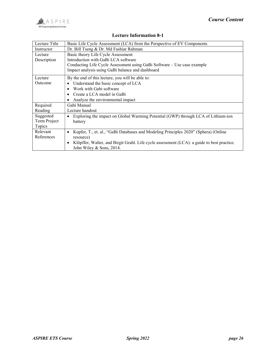

#### Lecture Information 8-1

| Lecture Title | Basic Life Cycle Assessment (LCA) from the Perspective of EV Components                    |
|---------------|--------------------------------------------------------------------------------------------|
| Instructor    | Dr. Bill Tseng & Dr. Md Fashiar Rahman                                                     |
| Lecture       | Basic theory Life Cycle Assessment                                                         |
| Description   | Introduction with GaBi LCA software                                                        |
|               | Conducting Life Cycle Assessment using GaBi Software – Use case example                    |
|               | Impact analysis using GaBi balance and dashboard                                           |
| Lecture       | By the end of this lecture, you will be able to:                                           |
| Outcome       | Understand the basic concept of LCA                                                        |
|               | Work with Gabi software                                                                    |
|               | Create a LCA model in GaBi                                                                 |
|               | Analyze the environmental impact                                                           |
| Required      | Gabi Manual                                                                                |
| Reading       | Lecture handout                                                                            |
| Suggested     | Exploring the impact on Global Warming Potential (GWP) through LCA of Lithium-ion          |
| Term Project  | battery                                                                                    |
| Topics        |                                                                                            |
| Relevant      | Kupfer, T., et. al., "GaBi Databases and Modeling Principles 2020" (Sphera) (Online<br>٠   |
| References    | resource)                                                                                  |
|               | Klöpffer, Walter, and Birgit Grahl. Life cycle assessment (LCA): a guide to best practice. |
|               | John Wiley & Sons, 2014.                                                                   |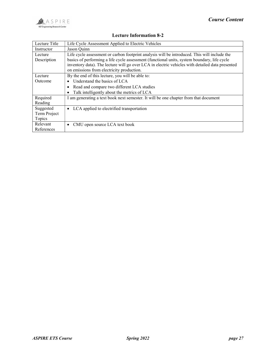

### Lecture Information 8-2

| Lecture Title | Life Cycle Assessment Applied to Electric Vehicles                                              |
|---------------|-------------------------------------------------------------------------------------------------|
| Instructor    | Jason Quinn                                                                                     |
| Lecture       | Life cycle assessment or carbon footprint analysis will be introduced. This will include the    |
| Description   | basics of performing a life cycle assessment (functional units, system boundary, life cycle     |
|               | inventory data). The lecture will go over LCA in electric vehicles with detailed data presented |
|               | on emissions from electricity production.                                                       |
| Lecture       | By the end of this lecture, you will be able to:                                                |
| Outcome       | Understand the basics of LCA                                                                    |
|               | Read and compare two different LCA studies                                                      |
|               | Talk intelligently about the metrics of LCA                                                     |
| Required      | I am generating a text book next semester. It will be one chapter from that document            |
| Reading       |                                                                                                 |
| Suggested     | LCA applied to electrified transportation                                                       |
| Term Project  |                                                                                                 |
| Topics        |                                                                                                 |
| Relevant      | CMU open source LCA text book                                                                   |
| References    |                                                                                                 |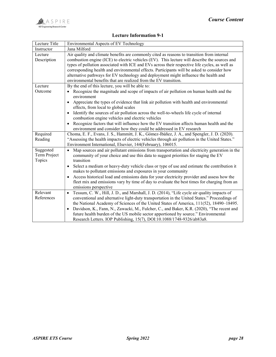

# Lecture Information 9-1

| Lecture Title          | Environmental Aspects of EV Technology                                                                                                                       |
|------------------------|--------------------------------------------------------------------------------------------------------------------------------------------------------------|
| Instructor             | Jana Milford                                                                                                                                                 |
| Lecture                | Air quality and climate benefits are commonly cited as reasons to transition from internal                                                                   |
| Description            | combustion engine (ICE) to electric vehicles (EV). This lecture will describe the sources and                                                                |
|                        | types of pollution associated with ICE and EVs across their respective life cycles, as well as                                                               |
|                        | corresponding health and environmental effects. Participants will be asked to consider how                                                                   |
|                        | alternative pathways for EV technology and deployment might influence the health and                                                                         |
|                        | environmental benefits that are realized from the EV transition.                                                                                             |
| Lecture                | By the end of this lecture, you will be able to:                                                                                                             |
| Outcome                | Recognize the magnitude and scope of impacts of air pollution on human health and the                                                                        |
|                        | environment                                                                                                                                                  |
|                        | Appreciate the types of evidence that link air pollution with health and environmental<br>$\bullet$<br>effects, from local to global scales                  |
|                        | Identify the sources of air pollution across the well-to-wheels life cycle of internal                                                                       |
|                        | combustion engine vehicles and electric vehicles                                                                                                             |
|                        | Recognize factors that will influence how the EV transition affects human health and the                                                                     |
|                        | environment and consider how they could be addressed in EV research                                                                                          |
| Required               | Choma, E. F., Evans, J. S., Hammitt, J. K., Gómez-Ibáñez, J. A., and Spengler, J. D. (2020).                                                                 |
| Reading                | "Assessing the health impacts of electric vehicles through air pollution in the United States."                                                              |
|                        | Environment International, Elsevier, 144(February), 106015.                                                                                                  |
| Suggested              | Map sources and air pollutant emissions from transportation and electricity generation in the                                                                |
| Term Project           | community of your choice and use this data to suggest priorities for staging the EV                                                                          |
| Topics                 | transition                                                                                                                                                   |
|                        | Select a medium or heavy-duty vehicle class or type of use and estimate the contribution it                                                                  |
|                        | makes to pollutant emissions and exposures in your community                                                                                                 |
|                        | Access historical load and emissions data for your electricity provider and assess how the                                                                   |
|                        | fleet mix and emissions vary by time of day to evaluate the best times for charging from an                                                                  |
|                        | emissions perspective                                                                                                                                        |
| Relevant<br>References | Tessum, C. W., Hill, J. D., and Marshall, J. D. (2014), "Life cycle air quality impacts of<br>$\bullet$                                                      |
|                        | conventional and alternative light-duty transportation in the United States." Proceedings of                                                                 |
|                        | the National Academy of Sciences of the United States of America, 111(52), 18490–18495.                                                                      |
|                        | Davidson, K., Fann, N., Zawacki, M., Fulcher, C., and Baker, K.R. (2020), "The recent and<br>$\bullet$                                                       |
|                        | future health burden of the US mobile sector apportioned by source." Environmental<br>Research Letters. IOP Publishing, 15(7), DOI:10.1088/1748-9326/ab83a8. |
|                        |                                                                                                                                                              |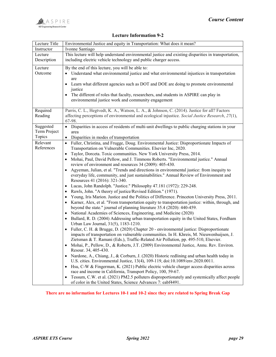

#### Lecture Information 9-2

| Lecture Title | Environmental Justice and equity in Transportation: What does it mean?                                                                        |
|---------------|-----------------------------------------------------------------------------------------------------------------------------------------------|
| Instructor    | Ivonne Santiago                                                                                                                               |
| Lecture       | This lecture will help understand environmental justice and existing disparities in transportation,                                           |
| Description   | including electric vehicle technology and public charger access.                                                                              |
| Lecture       | By the end of this lecture, you will be able to:                                                                                              |
| Outcome       | • Understand what environmental justice and what environmental injustices in transportation                                                   |
|               | are                                                                                                                                           |
|               | • Learn what different agencies such as DOT and DOE are doing to promote environmental                                                        |
|               | justice                                                                                                                                       |
|               | The different of roles that faculty, researchers, and students in ASPIRE can play in                                                          |
|               | environmental justice work and community engagement                                                                                           |
| Required      | Parris, C. L., Hegtvedt, K. A., Watson, L. A., & Johnson, C. (2014). Justice for all? Factors                                                 |
| Reading       | affecting perceptions of environmental and ecological injustice. Social Justice Research, 27(1),                                              |
|               | 67-98.                                                                                                                                        |
| Suggested     | • Disparities in access of residents of multi-unit dwellings to public charging stations in your                                              |
| Term Project  | area                                                                                                                                          |
| Topics        | Disparities in modes of transportation                                                                                                        |
| Relevant      | · Fuller, Christina, and Frugge, Doug. Environmental Justice: Disproportionate Impacts of                                                     |
| References    | Transportation on Vulnerable Communities. Elsevier Inc, 2020.                                                                                 |
|               | Taylor, Dorceta. Toxic communities. New York University Press, 2014.                                                                          |
|               | Mohai, Paul, David Pellow, and J. Timmons Roberts. "Environmental justice." Annual<br>review of environment and resources 34 (2009): 405-430. |
|               | • Agyeman, Julian, et al. "Trends and directions in environmental justice: from inequity to                                                   |
|               | everyday life, community, and just sustainabilities." Annual Review of Environment and                                                        |
|               | Resources 41 (2016): 321-340.                                                                                                                 |
|               | Lucas, John Randolph. "Justice." Philosophy 47.181 (1972): 229-248.                                                                           |
|               | Rawls, John. "A theory of justice/Revised Edition." (1971).                                                                                   |
|               | Young, Iris Marion. Justice and the Politics of Difference. Princeton University Press, 2011.                                                 |
|               | Karner, Alex, et al. "From transportation equity to transportation justice: within, through, and                                              |
|               | beyond the state." journal of planning literature 35.4 (2020): 440-459.                                                                       |
|               | National Academies of Sciences, Engineering, and Medicine (2020)                                                                              |
|               | Bullard, R. D. (2004) Addressing urban transportation equity in the United States, Fordham                                                    |
|               | Urban Law Journal, 31(5), 1183-1210.                                                                                                          |
|               | Fuller, C. H. & Brugge, D. (2020) Chapter 20 - environmental justice: Disproportionate                                                        |
|               | impacts of transportation on vulnerable communities. In H. Khreis, M. Nieuwenhuijsen, J.                                                      |
|               | Zietsman & T. Ramani (Eds.), Traffic-Related Air Pollution, pp. 495-510, Elsevier.                                                            |
|               | Mohai, P., Pellow, D., & Roberts, J.T. (2009) Environmental Justice, Annu. Rev. Environ.<br>Resour. 34, 405-430.                              |
|               | Nardone, A., Chiang, J., & Corburn, J. (2020) Historic redlining and urban health today in                                                    |
|               | U.S. cities. Environmental Justice, 13(4), 109-119, doi:10.1089/env.2020.0011.                                                                |
|               | Hsu, C-W & Fingerman, K. (2021) Public electric vehicle charger access disparities across                                                     |
|               | race and income in California, Transport Policy, 100, 59-67.                                                                                  |
|               | Tessum, C.W. et al. (2021) PM2.5 polluters disproportionately and systemically affect people<br>$\bullet$                                     |
|               | of color in the United States, Science Advances 7: eabf4491.                                                                                  |

#### There are no information for Lectures 10-1 and 10-2 since they are related to Spring Break Gap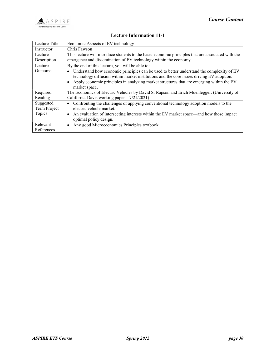

# Lecture Information 11-1

| Lecture Title                       | Economic Aspects of EV technology                                                                                                                                                                                                                                                                 |
|-------------------------------------|---------------------------------------------------------------------------------------------------------------------------------------------------------------------------------------------------------------------------------------------------------------------------------------------------|
| Instructor                          | Chris Fawson                                                                                                                                                                                                                                                                                      |
| Lecture                             | This lecture will introduce students to the basic economic principles that are associated with the                                                                                                                                                                                                |
| Description                         | emergence and dissemination of EV technology within the economy.                                                                                                                                                                                                                                  |
| Lecture                             | By the end of this lecture, you will be able to:                                                                                                                                                                                                                                                  |
| Outcome                             | Understand how economic principles can be used to better understand the complexity of EV<br>technology diffusion within market institutions and the core issues driving EV adoption.<br>Apply economic principles in analyzing market structures that are emerging within the EV<br>market space. |
| Required                            | The Economics of Electric Vehicles by David S. Rapson and Erich Muehlegger. (University of                                                                                                                                                                                                        |
| Reading                             | California-Davis working paper - 7/21/2021)                                                                                                                                                                                                                                                       |
| Suggested<br>Term Project<br>Topics | Confronting the challenges of applying conventional technology adoption models to the<br>electric vehicle market.<br>An evaluation of intersecting interests within the EV market space—and how those impact                                                                                      |
|                                     | optimal policy design.                                                                                                                                                                                                                                                                            |
| Relevant                            | Any good Microeconomics Principles textbook.                                                                                                                                                                                                                                                      |
| References                          |                                                                                                                                                                                                                                                                                                   |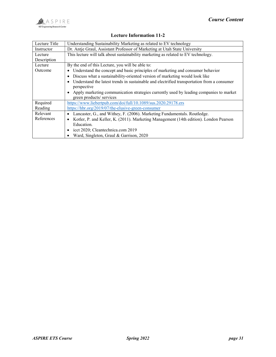

# Lecture Information 11-2

| Lecture Title | Understanding Sustainability Marketing as related to EV technology                         |
|---------------|--------------------------------------------------------------------------------------------|
| Instructor    | Dr. Antje Graul, Assistant Professor of Marketing at Utah State University                 |
| Lecture       | This lecture will talk about sustainability marketing as related to EV technology.         |
| Description   |                                                                                            |
| Lecture       | By the end of this Lecture, you will be able to:                                           |
| Outcome       | Understand the concept and basic principles of marketing and consumer behavior             |
|               | Discuss what a sustainability-oriented version of marketing would look like                |
|               | Understand the latest trends in sustainable and electrified transportation from a consumer |
|               | perspective                                                                                |
|               | Apply marketing communication strategies currently used by leading companies to market     |
|               | green products/ services                                                                   |
| Required      | https://www.liebertpub.com/doi/full/10.1089/sus.2020.29178.ers                             |
| Reading       | https://hbr.org/2019/07/the-elusive-green-consumer                                         |
| Relevant      | Lancaster, G., and Withey, F. (2006). Marketing Fundamentals. Routledge.<br>٠              |
| References    | Kotler, P. and Keller, K. (2011). Marketing Management (14th edition). London Pearson<br>٠ |
|               | Education.                                                                                 |
|               | icct 2020; Cleantechnica.com 2019                                                          |
|               | Ward, Singleton, Graul & Garrison, 2020                                                    |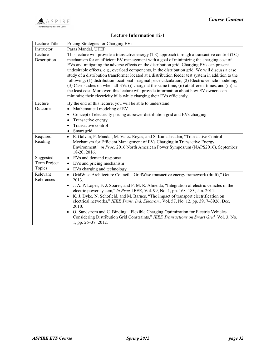

# Lecture Information 12-1

| Lecture Title          | Pricing Strategies for Charging EVs                                                                                                                                                                                                                                                                                                                                                                                                                                                                                                                                                                                                                                                                                                                                                                                                                                                 |
|------------------------|-------------------------------------------------------------------------------------------------------------------------------------------------------------------------------------------------------------------------------------------------------------------------------------------------------------------------------------------------------------------------------------------------------------------------------------------------------------------------------------------------------------------------------------------------------------------------------------------------------------------------------------------------------------------------------------------------------------------------------------------------------------------------------------------------------------------------------------------------------------------------------------|
| Instructor             | Paras Mandal, UTEP                                                                                                                                                                                                                                                                                                                                                                                                                                                                                                                                                                                                                                                                                                                                                                                                                                                                  |
| Lecture<br>Description | This lecture will provide a transactive energy (TE) approach through a transactive control (TC)<br>mechanism for an efficient EV management with a goal of minimizing the charging cost of<br>EVs and mitigating the adverse effects on the distribution grid. Charging EVs can present<br>undesirable effects, e.g., overload components, in the distribution grid. We will discuss a case<br>study of a distribution transformer located at a distribution feeder test system in addition to the<br>following: (1) distribution locational marginal price calculation, (2) Electric vehicle modeling,<br>(3) Case studies on when all EVs (i) charge at the same time, (ii) at different times, and (iii) at<br>the least cost. Moreover, this lecture will provide information about how EV owners can<br>minimize their electricity bills while charging their EVs efficiently. |
| Lecture                | By the end of this lecture, you will be able to understand:                                                                                                                                                                                                                                                                                                                                                                                                                                                                                                                                                                                                                                                                                                                                                                                                                         |
| Outcome                | Mathematical modeling of EV                                                                                                                                                                                                                                                                                                                                                                                                                                                                                                                                                                                                                                                                                                                                                                                                                                                         |
|                        | Concept of electricity pricing at power distribution grid and EVs charging<br>Transactive energy<br>Transactive control<br>Smart grid<br>$\bullet$                                                                                                                                                                                                                                                                                                                                                                                                                                                                                                                                                                                                                                                                                                                                  |
| Required               | E. Galvan, P. Mandal, M. Velez-Reyes, and S. Kamalasadan, "Transactive Control<br>$\bullet$                                                                                                                                                                                                                                                                                                                                                                                                                                                                                                                                                                                                                                                                                                                                                                                         |
| Reading                | Mechanism for Efficient Management of EVs Charging in Transactive Energy<br>Environment," in Proc. 2016 North American Power Symposium (NAPS2016), September<br>18-20, 2016.                                                                                                                                                                                                                                                                                                                                                                                                                                                                                                                                                                                                                                                                                                        |
| Suggested              | • EVs and demand response                                                                                                                                                                                                                                                                                                                                                                                                                                                                                                                                                                                                                                                                                                                                                                                                                                                           |
| Term Project           | EVs and pricing mechanism                                                                                                                                                                                                                                                                                                                                                                                                                                                                                                                                                                                                                                                                                                                                                                                                                                                           |
| Topics                 | EVs charging and technology                                                                                                                                                                                                                                                                                                                                                                                                                                                                                                                                                                                                                                                                                                                                                                                                                                                         |
| Relevant               | GridWise Architecture Council, "GridWise transactive energy framework (draft)," Oct.<br>$\bullet$                                                                                                                                                                                                                                                                                                                                                                                                                                                                                                                                                                                                                                                                                                                                                                                   |
| References             | 2013.<br>J. A. P. Lopes, F. J. Soares, and P. M. R. Almeida, "Integration of electric vehicles in the<br>electric power system," in Proc. IEEE, Vol. 99, No. 1, pp. 168-183, Jan. 2011.<br>K. J. Dyke, N. Schofield, and M. Barnes, "The impact of transport electrification on<br>electrical networks," IEEE Trans. Ind. Electron., Vol. 57, No. 12, pp. 3917-3926, Dec.<br>2010.<br>• O. Sundstrom and C. Binding, "Flexible Charging Optimization for Electric Vehicles<br>Considering Distribution Grid Constraints," IEEE Transactions on Smart Grid, Vol. 3, No.<br>1, pp. 26-37, 2012.                                                                                                                                                                                                                                                                                       |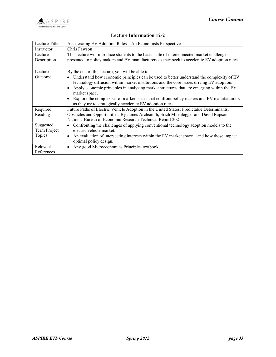

| Lecture Title | Accelerating EV Adoption Rates – An Economists Perspective                                    |
|---------------|-----------------------------------------------------------------------------------------------|
| Instructor    | Chris Fawson                                                                                  |
| Lecture       | This lecture will introduce students to the basic suite of interconnected market challenges   |
| Description   | presented to policy makers and EV manufacturers as they seek to accelerate EV adoption rates. |
|               |                                                                                               |
| Lecture       | By the end of this lecture, you will be able to:                                              |

#### Lecture Information 12-2

| Lecture      | By the end of this lecture, you will be able to:                                                                                                                                                                                                                                 |
|--------------|----------------------------------------------------------------------------------------------------------------------------------------------------------------------------------------------------------------------------------------------------------------------------------|
| Outcome      | Understand how economic principles can be used to better understand the complexity of EV<br>technology diffusion within market institutions and the core issues driving EV adoption.<br>Apply economic principles in analyzing market structures that are emerging within the EV |
|              | market space.                                                                                                                                                                                                                                                                    |
|              | Explore the complex set of market issues that confront policy makers and EV manufacturers                                                                                                                                                                                        |
|              | as they try to strategically accelerate EV adoption rates.                                                                                                                                                                                                                       |
| Required     | Future Paths of Electric Vehicle Adoption in the United States: Predictable Determinants,                                                                                                                                                                                        |
| Reading      | Obstacles and Opportunities. By James Archsmith, Erich Muehlegger and David Rapson.                                                                                                                                                                                              |
|              | National Bureau of Economic Research Technical Report 2021                                                                                                                                                                                                                       |
| Suggested    | Confronting the challenges of applying conventional technology adoption models to the                                                                                                                                                                                            |
| Term Project | electric vehicle market.                                                                                                                                                                                                                                                         |
| Topics       | An evaluation of intersecting interests within the EV market space—and how those impact                                                                                                                                                                                          |
|              | optimal policy design.                                                                                                                                                                                                                                                           |
| Relevant     | Any good Microeconomics Principles textbook.<br>$\bullet$                                                                                                                                                                                                                        |
| References   |                                                                                                                                                                                                                                                                                  |